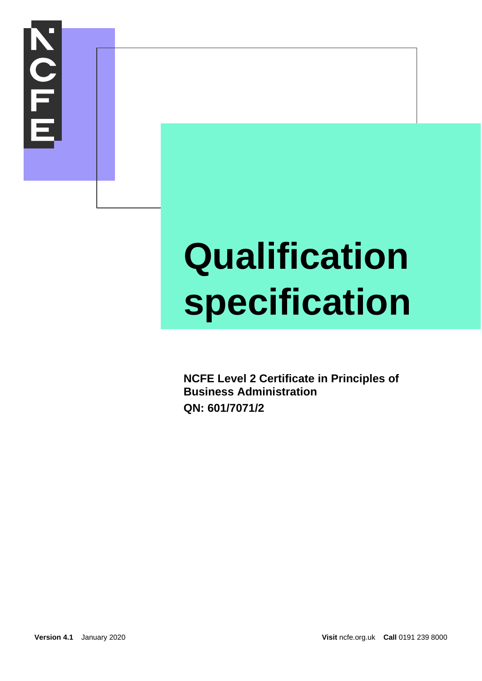

## **Qualification specification**

**NCFE Level 2 Certificate in Principles of Business Administration QN: 601/7071/2**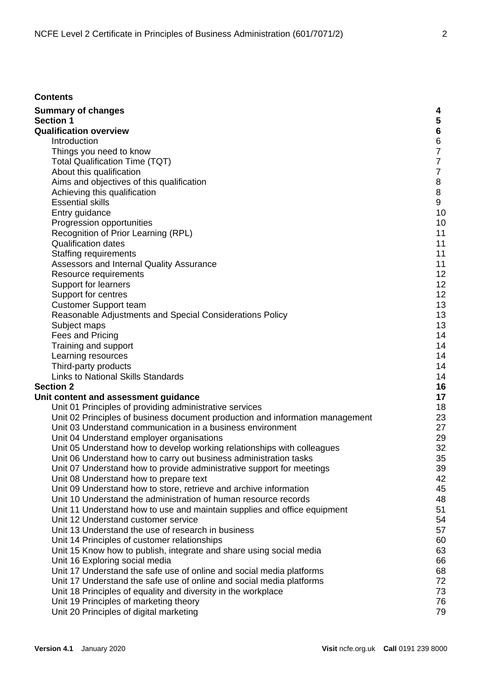| <b>Contents</b>                                                                                                                              |                |
|----------------------------------------------------------------------------------------------------------------------------------------------|----------------|
| <b>Summary of changes</b>                                                                                                                    | 4              |
| <b>Section 1</b>                                                                                                                             | 5              |
| <b>Qualification overview</b>                                                                                                                | $6\phantom{a}$ |
| Introduction                                                                                                                                 | $\,6\,$        |
| Things you need to know                                                                                                                      | $\overline{7}$ |
| <b>Total Qualification Time (TQT)</b>                                                                                                        | $\overline{7}$ |
| About this qualification                                                                                                                     | $\overline{7}$ |
| Aims and objectives of this qualification                                                                                                    | $\,8\,$        |
| Achieving this qualification                                                                                                                 | $\,8\,$        |
| <b>Essential skills</b>                                                                                                                      | 9              |
| Entry guidance                                                                                                                               | 10             |
| Progression opportunities                                                                                                                    | 10             |
| Recognition of Prior Learning (RPL)                                                                                                          | 11             |
| <b>Qualification dates</b>                                                                                                                   | 11             |
| <b>Staffing requirements</b>                                                                                                                 | 11             |
| Assessors and Internal Quality Assurance                                                                                                     | 11             |
| Resource requirements                                                                                                                        | 12             |
| Support for learners                                                                                                                         | 12             |
| Support for centres                                                                                                                          | 12             |
| <b>Customer Support team</b>                                                                                                                 | 13             |
| Reasonable Adjustments and Special Considerations Policy                                                                                     | 13             |
| Subject maps                                                                                                                                 | 13             |
| Fees and Pricing                                                                                                                             | 14             |
| Training and support                                                                                                                         | 14             |
| Learning resources                                                                                                                           | 14             |
| Third-party products                                                                                                                         | 14             |
| <b>Links to National Skills Standards</b>                                                                                                    | 14             |
| <b>Section 2</b>                                                                                                                             | 16             |
| Unit content and assessment guidance                                                                                                         | 17             |
| Unit 01 Principles of providing administrative services                                                                                      | 18             |
| Unit 02 Principles of business document production and information management<br>Unit 03 Understand communication in a business environment  | 23             |
| Unit 04 Understand employer organisations                                                                                                    | 27<br>29       |
|                                                                                                                                              | 32             |
| Unit 05 Understand how to develop working relationships with colleagues<br>Unit 06 Understand how to carry out business administration tasks | 35             |
| Unit 07 Understand how to provide administrative support for meetings                                                                        | 39             |
| Unit 08 Understand how to prepare text                                                                                                       | 42             |
| Unit 09 Understand how to store, retrieve and archive information                                                                            | 45             |
| Unit 10 Understand the administration of human resource records                                                                              | 48             |
| Unit 11 Understand how to use and maintain supplies and office equipment                                                                     | 51             |
| Unit 12 Understand customer service                                                                                                          | 54             |
| Unit 13 Understand the use of research in business                                                                                           | 57             |
| Unit 14 Principles of customer relationships                                                                                                 | 60             |
| Unit 15 Know how to publish, integrate and share using social media                                                                          | 63             |
| Unit 16 Exploring social media                                                                                                               | 66             |
| Unit 17 Understand the safe use of online and social media platforms                                                                         | 68             |
| Unit 17 Understand the safe use of online and social media platforms                                                                         | 72             |
| Unit 18 Principles of equality and diversity in the workplace                                                                                | 73             |
| Unit 19 Principles of marketing theory                                                                                                       | 76             |
| Unit 20 Principles of digital marketing                                                                                                      | 79             |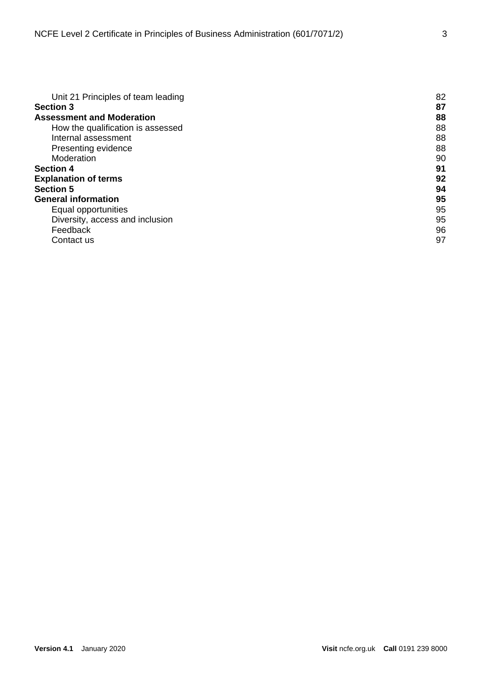| Unit 21 Principles of team leading | 82 |
|------------------------------------|----|
| <b>Section 3</b>                   | 87 |
| <b>Assessment and Moderation</b>   | 88 |
| How the qualification is assessed  | 88 |
| Internal assessment                | 88 |
| Presenting evidence                | 88 |
| Moderation                         | 90 |
| <b>Section 4</b>                   | 91 |
| <b>Explanation of terms</b>        | 92 |
| <b>Section 5</b>                   | 94 |
| <b>General information</b>         | 95 |
| Equal opportunities                | 95 |
| Diversity, access and inclusion    | 95 |
| Feedback                           | 96 |
| Contact us                         | 97 |
|                                    |    |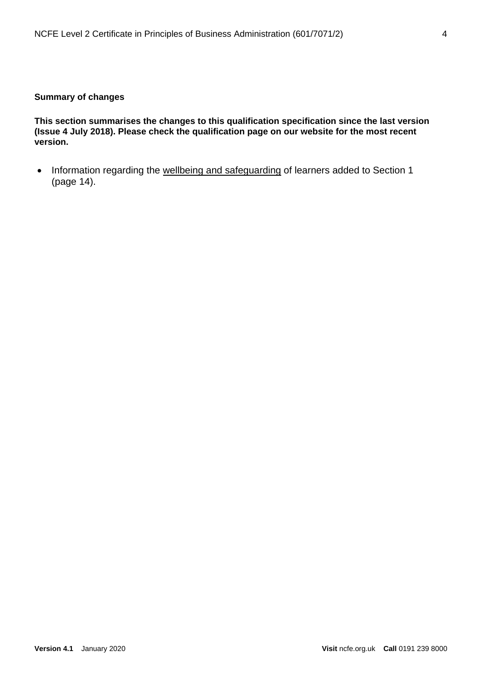#### <span id="page-3-0"></span>**Summary of changes**

**This section summarises the changes to this qualification specification since the last version (Issue 4 July 2018). Please check the qualification page on our website for the most recent version.** 

• Information regarding the [wellbeing and safeguarding](#page-13-2) of learners added to Section 1 (page 14).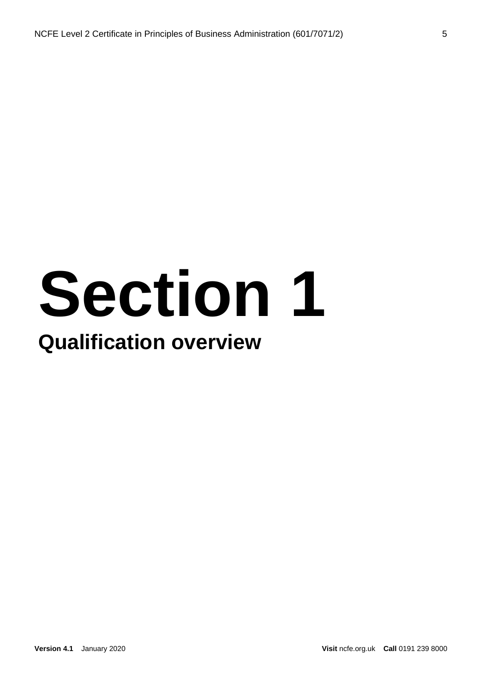## **Section 1 Qualification overview**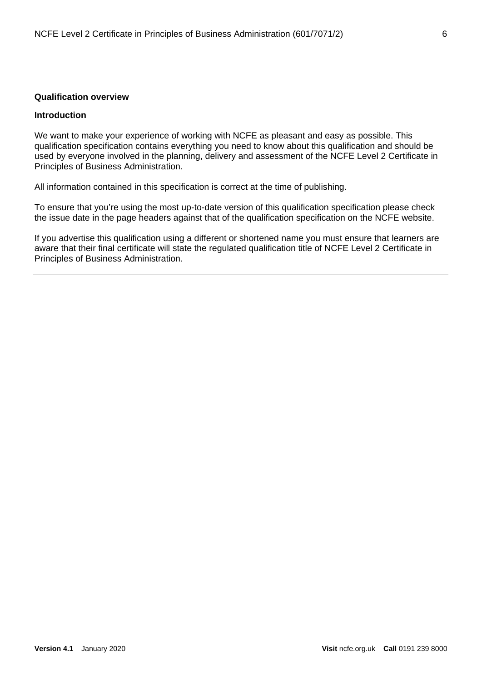#### <span id="page-5-1"></span><span id="page-5-0"></span>**Qualification overview**

#### **Introduction**

We want to make your experience of working with NCFE as pleasant and easy as possible. This qualification specification contains everything you need to know about this qualification and should be used by everyone involved in the planning, delivery and assessment of the NCFE Level 2 Certificate in Principles of Business Administration.

All information contained in this specification is correct at the time of publishing.

To ensure that you're using the most up-to-date version of this qualification specification please check the issue date in the page headers against that of the qualification specification on the NCFE website.

If you advertise this qualification using a different or shortened name you must ensure that learners are aware that their final certificate will state the regulated qualification title of NCFE Level 2 Certificate in Principles of Business Administration.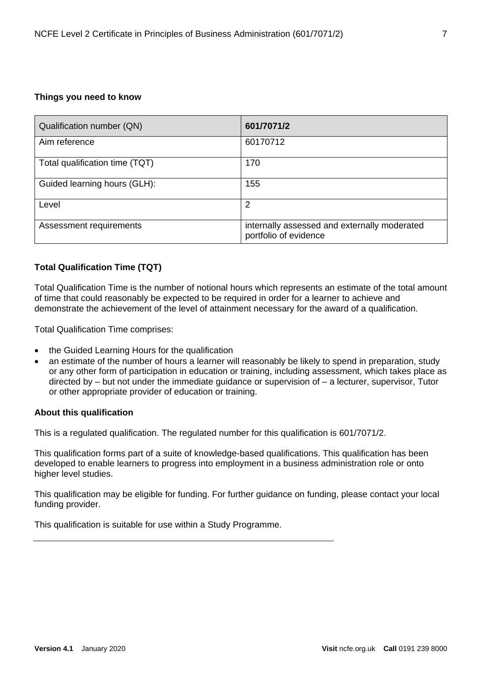#### <span id="page-6-0"></span>**Things you need to know**

| Qualification number (QN)      | 601/7071/2                                                            |
|--------------------------------|-----------------------------------------------------------------------|
| Aim reference                  | 60170712                                                              |
| Total qualification time (TQT) | 170                                                                   |
| Guided learning hours (GLH):   | 155                                                                   |
| Level                          | 2                                                                     |
| Assessment requirements        | internally assessed and externally moderated<br>portfolio of evidence |

#### <span id="page-6-1"></span>**Total Qualification Time (TQT)**

Total Qualification Time is the number of notional hours which represents an estimate of the total amount of time that could reasonably be expected to be required in order for a learner to achieve and demonstrate the achievement of the level of attainment necessary for the award of a qualification.

Total Qualification Time comprises:

- the Guided Learning Hours for the qualification
- an estimate of the number of hours a learner will reasonably be likely to spend in preparation, study or any other form of participation in education or training, including assessment, which takes place as directed by – but not under the immediate guidance or supervision of – a lecturer, supervisor, Tutor or other appropriate provider of education or training.

#### <span id="page-6-2"></span>**About this qualification**

This is a regulated qualification. The regulated number for this qualification is 601/7071/2.

This qualification forms part of a suite of knowledge-based qualifications. This qualification has been developed to enable learners to progress into employment in a business administration role or onto higher level studies.

This qualification may be eligible for funding. For further guidance on funding, please contact your local funding provider.

This qualification is suitable for use within a Study Programme.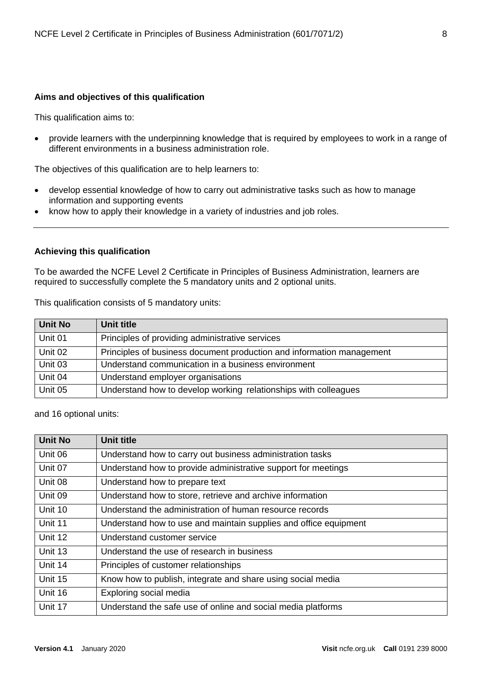#### <span id="page-7-0"></span>**Aims and objectives of this qualification**

This qualification aims to:

• provide learners with the underpinning knowledge that is required by employees to work in a range of different environments in a business administration role.

The objectives of this qualification are to help learners to:

- develop essential knowledge of how to carry out administrative tasks such as how to manage information and supporting events
- know how to apply their knowledge in a variety of industries and job roles.

#### <span id="page-7-1"></span>**Achieving this qualification**

To be awarded the NCFE Level 2 Certificate in Principles of Business Administration, learners are required to successfully complete the 5 mandatory units and 2 optional units.

This qualification consists of 5 mandatory units:

| <b>Unit No</b> | Unit title                                                            |
|----------------|-----------------------------------------------------------------------|
| Unit 01        | Principles of providing administrative services                       |
| Unit 02        | Principles of business document production and information management |
| Unit 03        | Understand communication in a business environment                    |
| Unit 04        | Understand employer organisations                                     |
| Unit 05        | Understand how to develop working relationships with colleagues       |

and 16 optional units:

| <b>Unit No</b> | <b>Unit title</b>                                                |
|----------------|------------------------------------------------------------------|
| Unit 06        | Understand how to carry out business administration tasks        |
| Unit 07        | Understand how to provide administrative support for meetings    |
| Unit 08        | Understand how to prepare text                                   |
| Unit 09        | Understand how to store, retrieve and archive information        |
| Unit 10        | Understand the administration of human resource records          |
| Unit 11        | Understand how to use and maintain supplies and office equipment |
| Unit 12        | Understand customer service                                      |
| Unit 13        | Understand the use of research in business                       |
| Unit 14        | Principles of customer relationships                             |
| Unit 15        | Know how to publish, integrate and share using social media      |
| Unit 16        | Exploring social media                                           |
| Unit 17        | Understand the safe use of online and social media platforms     |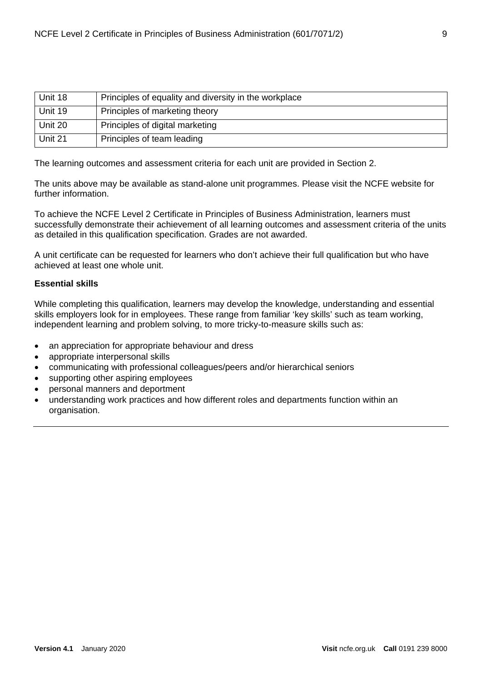| Unit 18 | Principles of equality and diversity in the workplace |
|---------|-------------------------------------------------------|
| Unit 19 | Principles of marketing theory                        |
| Unit 20 | Principles of digital marketing                       |
| Unit 21 | Principles of team leading                            |

The learning outcomes and assessment criteria for each unit are provided in Section 2.

The units above may be available as stand-alone unit programmes. Please visit the NCFE website for further information.

To achieve the NCFE Level 2 Certificate in Principles of Business Administration, learners must successfully demonstrate their achievement of all learning outcomes and assessment criteria of the units as detailed in this qualification specification. Grades are not awarded.

A unit certificate can be requested for learners who don't achieve their full qualification but who have achieved at least one whole unit.

#### <span id="page-8-0"></span>**Essential skills**

While completing this qualification, learners may develop the knowledge, understanding and essential skills employers look for in employees. These range from familiar 'key skills' such as team working, independent learning and problem solving, to more tricky-to-measure skills such as:

- an appreciation for appropriate behaviour and dress
- appropriate interpersonal skills
- communicating with professional colleagues/peers and/or hierarchical seniors
- supporting other aspiring employees
- personal manners and deportment
- understanding work practices and how different roles and departments function within an organisation.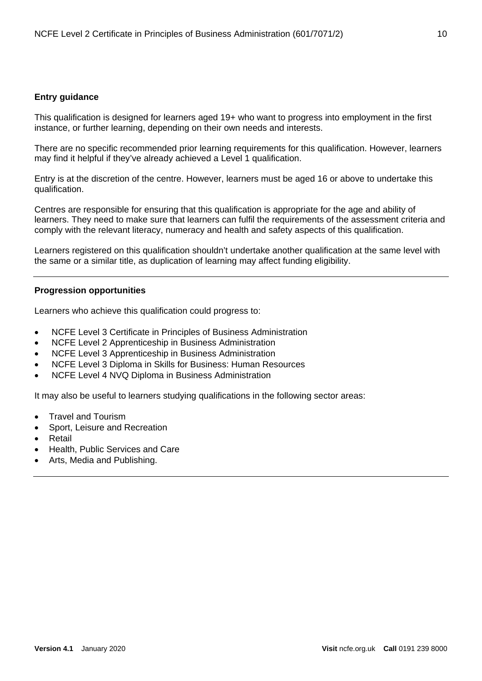#### <span id="page-9-0"></span>**Entry guidance**

This qualification is designed for learners aged 19+ who want to progress into employment in the first instance, or further learning, depending on their own needs and interests.

There are no specific recommended prior learning requirements for this qualification. However, learners may find it helpful if they've already achieved a Level 1 qualification.

Entry is at the discretion of the centre. However, learners must be aged 16 or above to undertake this qualification.

Centres are responsible for ensuring that this qualification is appropriate for the age and ability of learners. They need to make sure that learners can fulfil the requirements of the assessment criteria and comply with the relevant literacy, numeracy and health and safety aspects of this qualification.

Learners registered on this qualification shouldn't undertake another qualification at the same level with the same or a similar title, as duplication of learning may affect funding eligibility.

#### <span id="page-9-1"></span>**Progression opportunities**

Learners who achieve this qualification could progress to:

- NCFE Level 3 Certificate in Principles of Business Administration
- NCFE Level 2 Apprenticeship in Business Administration
- NCFE Level 3 Apprenticeship in Business Administration
- NCFE Level 3 Diploma in Skills for Business: Human Resources
- NCFE Level 4 NVQ Diploma in Business Administration

It may also be useful to learners studying qualifications in the following sector areas:

- Travel and Tourism
- Sport, Leisure and Recreation
- **Retail**
- Health, Public Services and Care
- Arts, Media and Publishing.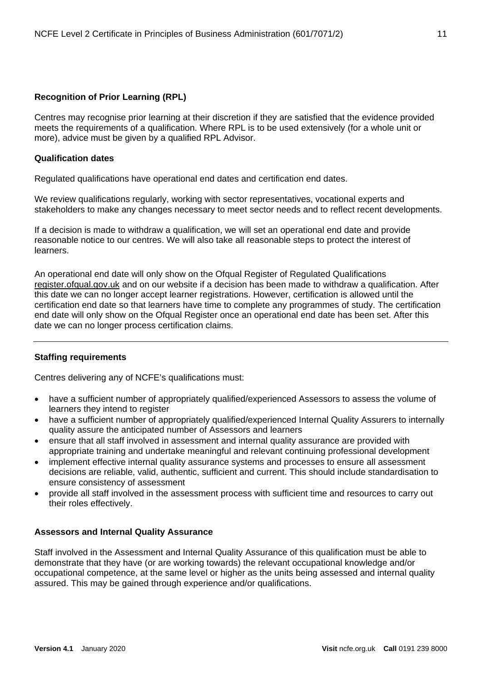#### <span id="page-10-0"></span>**Recognition of Prior Learning (RPL)**

Centres may recognise prior learning at their discretion if they are satisfied that the evidence provided meets the requirements of a qualification. Where RPL is to be used extensively (for a whole unit or more), advice must be given by a qualified RPL Advisor.

#### <span id="page-10-1"></span>**Qualification dates**

Regulated qualifications have operational end dates and certification end dates.

We review qualifications regularly, working with sector representatives, vocational experts and stakeholders to make any changes necessary to meet sector needs and to reflect recent developments.

If a decision is made to withdraw a qualification, we will set an operational end date and provide reasonable notice to our centres. We will also take all reasonable steps to protect the interest of learners.

An operational end date will only show on the Ofqual Register of Regulated Qualifications [register.ofqual.gov.uk](https://register.ofqual.gov.uk/) and on our website if a decision has been made to withdraw a qualification. After this date we can no longer accept learner registrations. However, certification is allowed until the certification end date so that learners have time to complete any programmes of study. The certification end date will only show on the Ofqual Register once an operational end date has been set. After this date we can no longer process certification claims.

#### <span id="page-10-2"></span>**Staffing requirements**

Centres delivering any of NCFE's qualifications must:

- have a sufficient number of appropriately qualified/experienced Assessors to assess the volume of learners they intend to register
- have a sufficient number of appropriately qualified/experienced Internal Quality Assurers to internally quality assure the anticipated number of Assessors and learners
- ensure that all staff involved in assessment and internal quality assurance are provided with appropriate training and undertake meaningful and relevant continuing professional development
- implement effective internal quality assurance systems and processes to ensure all assessment decisions are reliable, valid, authentic, sufficient and current. This should include standardisation to ensure consistency of assessment
- provide all staff involved in the assessment process with sufficient time and resources to carry out their roles effectively.

#### <span id="page-10-3"></span>**Assessors and Internal Quality Assurance**

Staff involved in the Assessment and Internal Quality Assurance of this qualification must be able to demonstrate that they have (or are working towards) the relevant occupational knowledge and/or occupational competence, at the same level or higher as the units being assessed and internal quality assured. This may be gained through experience and/or qualifications.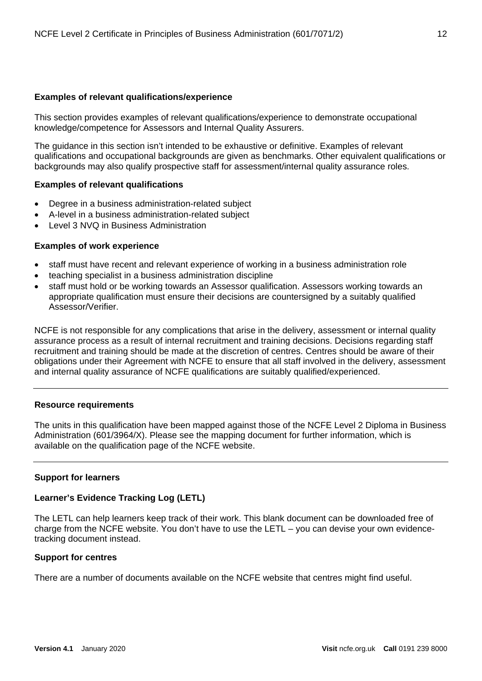#### **Examples of relevant qualifications/experience**

This section provides examples of relevant qualifications/experience to demonstrate occupational knowledge/competence for Assessors and Internal Quality Assurers.

The guidance in this section isn't intended to be exhaustive or definitive. Examples of relevant qualifications and occupational backgrounds are given as benchmarks. Other equivalent qualifications or backgrounds may also qualify prospective staff for assessment/internal quality assurance roles.

#### **Examples of relevant qualifications**

- Degree in a business administration-related subject
- A-level in a business administration-related subject
- Level 3 NVQ in Business Administration

#### **Examples of work experience**

- staff must have recent and relevant experience of working in a business administration role
- teaching specialist in a business administration discipline
- staff must hold or be working towards an Assessor qualification. Assessors working towards an appropriate qualification must ensure their decisions are countersigned by a suitably qualified Assessor/Verifier.

NCFE is not responsible for any complications that arise in the delivery, assessment or internal quality assurance process as a result of internal recruitment and training decisions. Decisions regarding staff recruitment and training should be made at the discretion of centres. Centres should be aware of their obligations under their Agreement with NCFE to ensure that all staff involved in the delivery, assessment and internal quality assurance of NCFE qualifications are suitably qualified/experienced.

#### <span id="page-11-0"></span>**Resource requirements**

The units in this qualification have been mapped against those of the NCFE Level 2 Diploma in Business Administration (601/3964/X). Please see the mapping document for further information, which is available on the qualification page of the NCFE website.

#### <span id="page-11-1"></span>**Support for learners**

#### **Learner's Evidence Tracking Log (LETL)**

The LETL can help learners keep track of their work. This blank document can be downloaded free of charge from the NCFE website. You don't have to use the LETL – you can devise your own evidencetracking document instead.

#### <span id="page-11-2"></span>**Support for centres**

There are a number of documents available on the NCFE website that centres might find useful.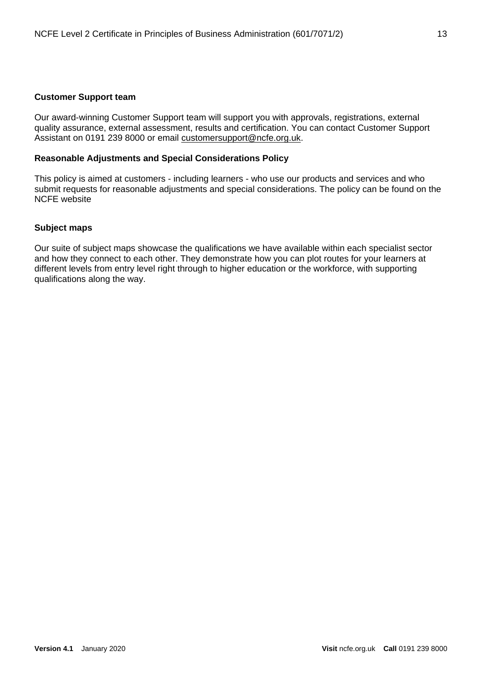#### <span id="page-12-0"></span>**Customer Support team**

Our award-winning Customer Support team will support you with approvals, registrations, external quality assurance, external assessment, results and certification. You can contact Customer Support Assistant on 0191 239 8000 or email [customersupport@ncfe.org.uk.](mailto:service@ncfe.org.uk)

#### <span id="page-12-1"></span>**[Reasonable Adjustments and Special Considerations Policy](http://www.ncfe.org.uk/download/web/documents/Reasonable-Adjustments-Policy.pdf)**

This policy is aimed at customers - including learners - who use our products and services and who submit requests for reasonable adjustments and special considerations. The policy can be found on the NCFE website

#### <span id="page-12-2"></span>**Subject maps**

Our suite of subject maps showcase the qualifications we have available within each specialist sector and how they connect to each other. They demonstrate how you can plot routes for your learners at different levels from entry level right through to higher education or the workforce, with supporting qualifications along the way.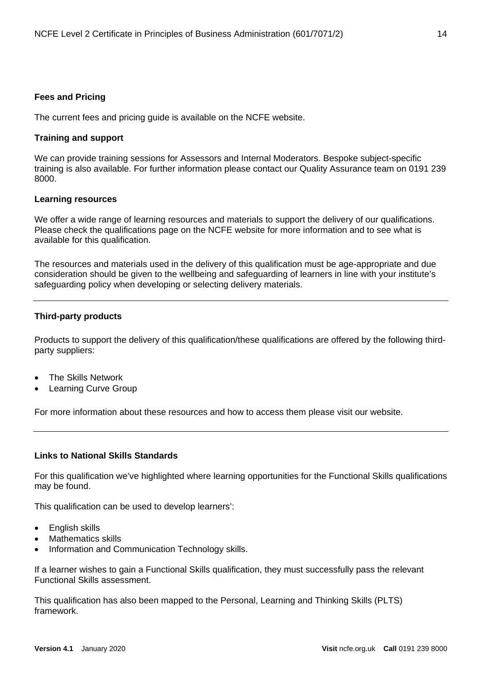#### <span id="page-13-0"></span>**Fees and Pricing**

The current fees and pricing guide is available on the NCFE website.

#### <span id="page-13-1"></span>**Training and support**

We can provide training sessions for Assessors and Internal Moderators. Bespoke subject-specific training is also available. For further information please contact our Quality Assurance team on 0191 239 8000.

#### <span id="page-13-2"></span>**Learning resources**

We offer a wide range of learning resources and materials to support the delivery of our qualifications. Please check the qualifications page on the NCFE website for more information and to see what is available for this qualification.

The resources and materials used in the delivery of this qualification must be age-appropriate and due consideration should be given to the wellbeing and safeguarding of learners in line with your institute's safeguarding policy when developing or selecting delivery materials.

#### <span id="page-13-3"></span>**Third-party products**

Products to support the delivery of this qualification/these qualifications are offered by the following thirdparty suppliers:

- The Skills Network
- Learning Curve Group

For more information about these resources and how to access them please visit our website.

#### <span id="page-13-4"></span>**Links to National Skills Standards**

For this qualification we've highlighted where learning opportunities for the Functional Skills qualifications may be found.

This qualification can be used to develop learners':

- English skills
- Mathematics skills
- Information and Communication Technology skills.

If a learner wishes to gain a Functional Skills qualification, they must successfully pass the relevant Functional Skills assessment.

This qualification has also been mapped to the Personal, Learning and Thinking Skills (PLTS) framework.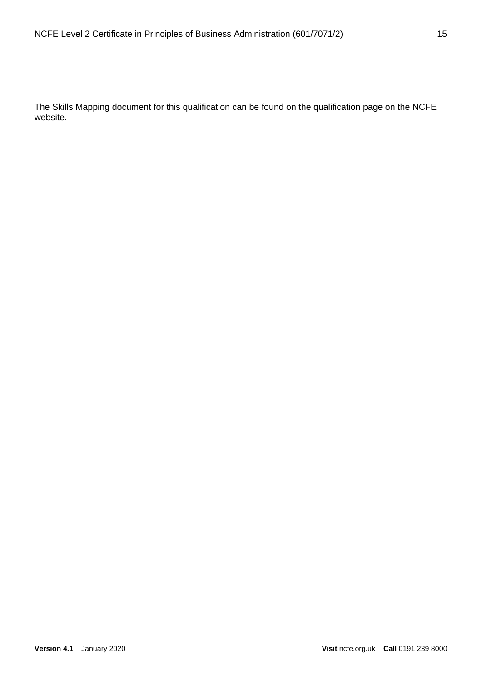The Skills Mapping document for this qualification can be found on the qualification page on the NCFE website.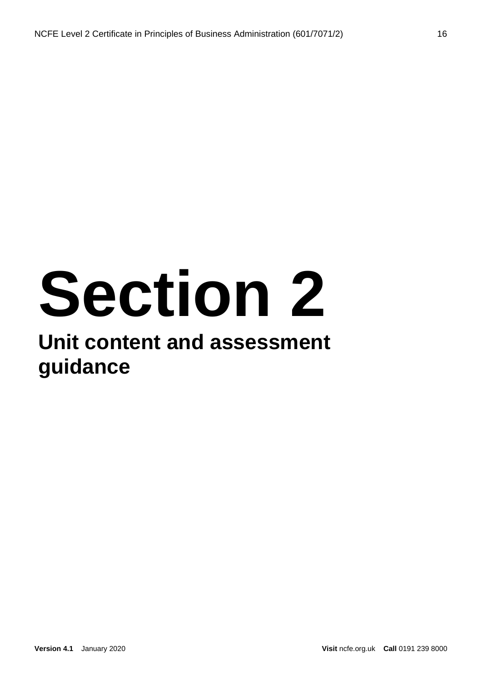# **Section 2**

### **Unit content and assessment guidance**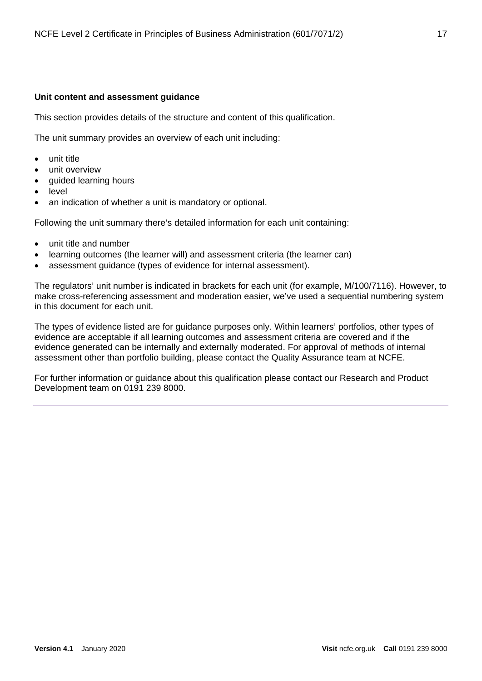#### <span id="page-16-0"></span>**Unit content and assessment guidance**

This section provides details of the structure and content of this qualification.

The unit summary provides an overview of each unit including:

- unit title
- unit overview
- guided learning hours
- level
- an indication of whether a unit is mandatory or optional.

Following the unit summary there's detailed information for each unit containing:

- unit title and number
- learning outcomes (the learner will) and assessment criteria (the learner can)
- assessment guidance (types of evidence for internal assessment).

The regulators' unit number is indicated in brackets for each unit (for example, M/100/7116). However, to make cross-referencing assessment and moderation easier, we've used a sequential numbering system in this document for each unit.

The types of evidence listed are for guidance purposes only. Within learners' portfolios, other types of evidence are acceptable if all learning outcomes and assessment criteria are covered and if the evidence generated can be internally and externally moderated. For approval of methods of internal assessment other than portfolio building, please contact the Quality Assurance team at NCFE.

For further information or guidance about this qualification please contact our Research and Product Development team on 0191 239 8000.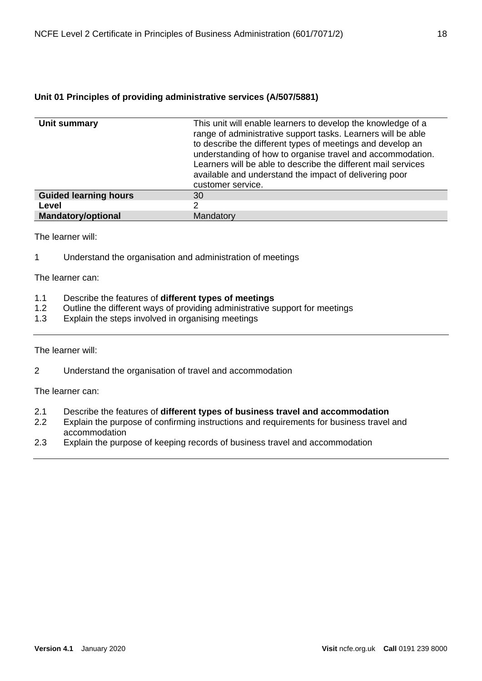<span id="page-17-0"></span>

| Unit summary                 | This unit will enable learners to develop the knowledge of a<br>range of administrative support tasks. Learners will be able<br>to describe the different types of meetings and develop an<br>understanding of how to organise travel and accommodation.<br>Learners will be able to describe the different mail services<br>available and understand the impact of delivering poor<br>customer service. |
|------------------------------|----------------------------------------------------------------------------------------------------------------------------------------------------------------------------------------------------------------------------------------------------------------------------------------------------------------------------------------------------------------------------------------------------------|
| <b>Guided learning hours</b> | 30                                                                                                                                                                                                                                                                                                                                                                                                       |
| Level                        | າ                                                                                                                                                                                                                                                                                                                                                                                                        |
| <b>Mandatory/optional</b>    | Mandatory                                                                                                                                                                                                                                                                                                                                                                                                |

The learner will:

1 Understand the organisation and administration of meetings

The learner can:

- 1.1 Describe the features of **different types of meetings**
- 1.2 Outline the different ways of providing administrative support for meetings<br>1.3 Explain the steps involved in organising meetings
- Explain the steps involved in organising meetings

The learner will:

2 Understand the organisation of travel and accommodation

- 2.1 Describe the features of **different types of business travel and accommodation**
- Explain the purpose of confirming instructions and requirements for business travel and accommodation
- 2.3 Explain the purpose of keeping records of business travel and accommodation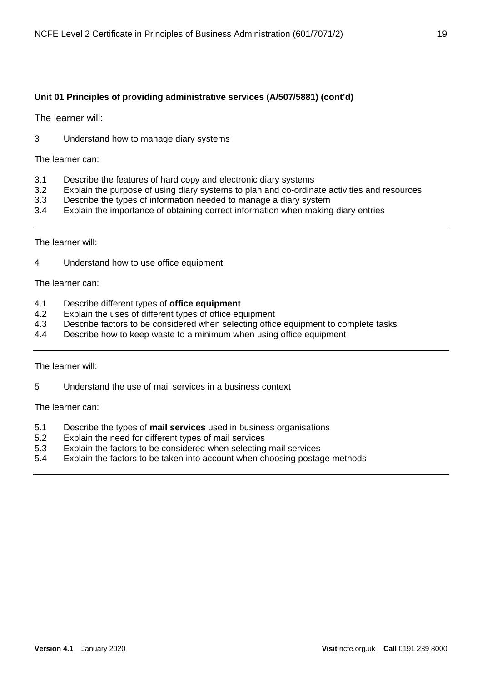The learner will:

3 Understand how to manage diary systems

The learner can:

- 3.1 Describe the features of hard copy and electronic diary systems<br>3.2 Explain the purpose of using diary systems to plan and co-ordina
- Explain the purpose of using diary systems to plan and co-ordinate activities and resources
- 3.3 Describe the types of information needed to manage a diary system
- 3.4 Explain the importance of obtaining correct information when making diary entries

The learner will:

4 Understand how to use office equipment

The learner can:

- 4.1 Describe different types of **office equipment**
- 4.2 Explain the uses of different types of office equipment
- 4.3 Describe factors to be considered when selecting office equipment to complete tasks
- 4.4 Describe how to keep waste to a minimum when using office equipment

The learner will:

5 Understand the use of mail services in a business context

- 5.1 Describe the types of **mail services** used in business organisations
- Explain the need for different types of mail services
- 5.3 Explain the factors to be considered when selecting mail services
- 5.4 Explain the factors to be taken into account when choosing postage methods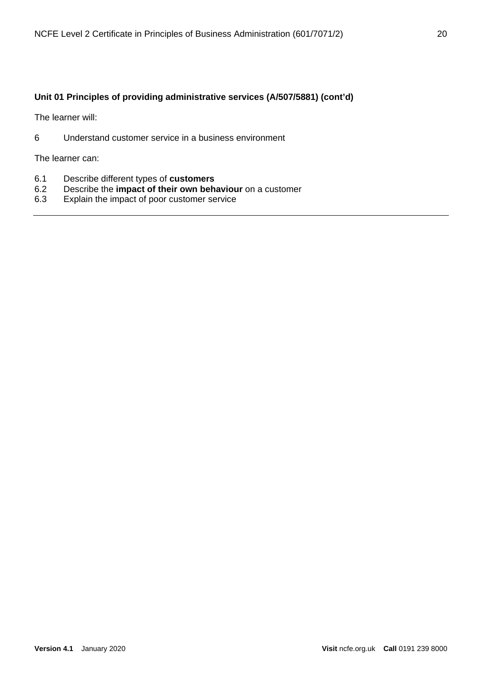The learner will:

6 Understand customer service in a business environment

- 6.1 Describe different types of **customers**
- 6.2 Describe the **impact of their own behaviour** on a customer
- Explain the impact of poor customer service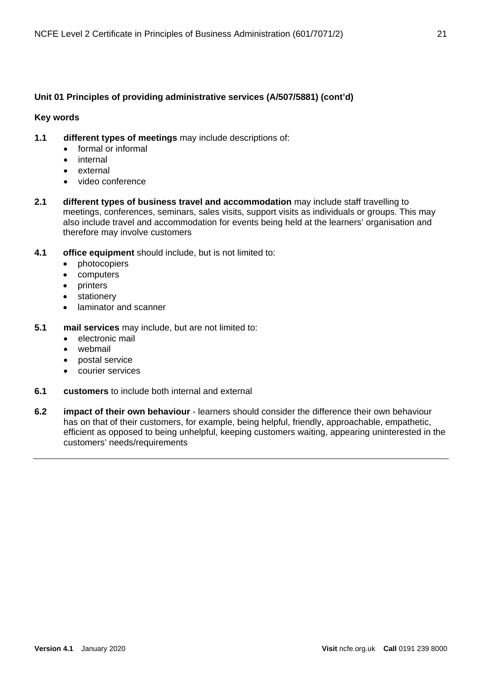#### **Key words**

- **1.1 different types of meetings** may include descriptions of:
	- formal or informal
	- internal
	- external
	- video conference
- **2.1 different types of business travel and accommodation** may include staff travelling to meetings, conferences, seminars, sales visits, support visits as individuals or groups. This may also include travel and accommodation for events being held at the learners' organisation and therefore may involve customers
- **4.1 office equipment** should include, but is not limited to:
	- photocopiers
	- computers
	- **printers**
	- stationery
	- laminator and scanner
- **5.1 mail services** may include, but are not limited to:
	- electronic mail
	- webmail
	- postal service
	- courier services
- **6.1 customers** to include both internal and external
- **6.2 impact of their own behaviour** learners should consider the difference their own behaviour has on that of their customers, for example, being helpful, friendly, approachable, empathetic, efficient as opposed to being unhelpful, keeping customers waiting, appearing uninterested in the customers' needs/requirements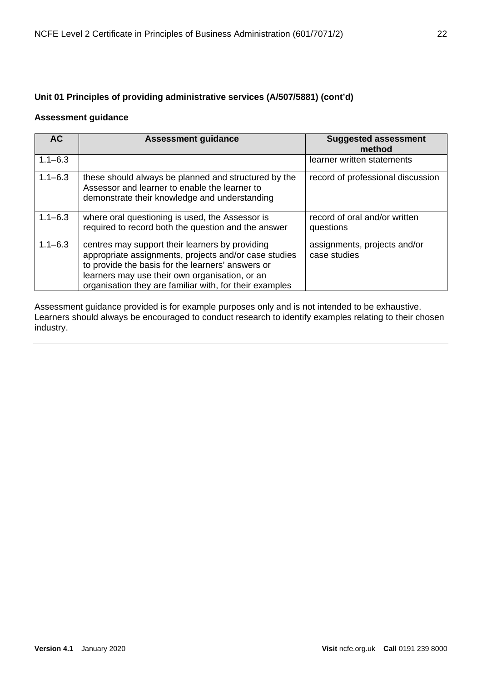#### **Assessment guidance**

| <b>AC</b>   | <b>Assessment guidance</b>                                                                                                                                                                                                                                                 | <b>Suggested assessment</b><br>method        |
|-------------|----------------------------------------------------------------------------------------------------------------------------------------------------------------------------------------------------------------------------------------------------------------------------|----------------------------------------------|
| $1.1 - 6.3$ |                                                                                                                                                                                                                                                                            | learner written statements                   |
| $1.1 - 6.3$ | these should always be planned and structured by the<br>Assessor and learner to enable the learner to<br>demonstrate their knowledge and understanding                                                                                                                     | record of professional discussion            |
| $1.1 - 6.3$ | where oral questioning is used, the Assessor is<br>required to record both the question and the answer                                                                                                                                                                     | record of oral and/or written<br>questions   |
| $1.1 - 6.3$ | centres may support their learners by providing<br>appropriate assignments, projects and/or case studies<br>to provide the basis for the learners' answers or<br>learners may use their own organisation, or an<br>organisation they are familiar with, for their examples | assignments, projects and/or<br>case studies |

Assessment guidance provided is for example purposes only and is not intended to be exhaustive. Learners should always be encouraged to conduct research to identify examples relating to their chosen industry.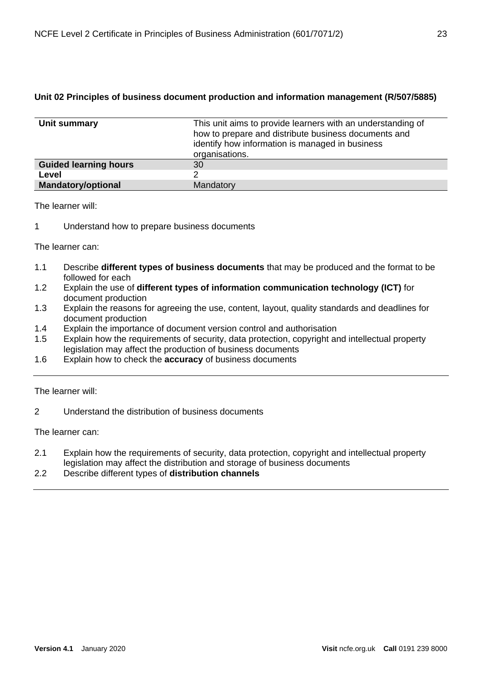#### <span id="page-22-0"></span>**Unit 02 Principles of business document production and information management (R/507/5885)**

| Unit summary                 | This unit aims to provide learners with an understanding of<br>how to prepare and distribute business documents and<br>identify how information is managed in business<br>organisations. |
|------------------------------|------------------------------------------------------------------------------------------------------------------------------------------------------------------------------------------|
| <b>Guided learning hours</b> | 30                                                                                                                                                                                       |
| Level                        |                                                                                                                                                                                          |
| <b>Mandatory/optional</b>    | Mandatory                                                                                                                                                                                |

The learner will:

1 Understand how to prepare business documents

The learner can:

- 1.1 Describe **different types of business documents** that may be produced and the format to be followed for each
- 1.2 Explain the use of **different types of information communication technology (ICT)** for document production
- 1.3 Explain the reasons for agreeing the use, content, layout, quality standards and deadlines for document production
- 1.4 Explain the importance of document version control and authorisation
- 1.5 Explain how the requirements of security, data protection, copyright and intellectual property legislation may affect the production of business documents
- 1.6 Explain how to check the **accuracy** of business documents

The learner will:

2 Understand the distribution of business documents

- 2.1 Explain how the requirements of security, data protection, copyright and intellectual property legislation may affect the distribution and storage of business documents
- 2.2 Describe different types of **distribution channels**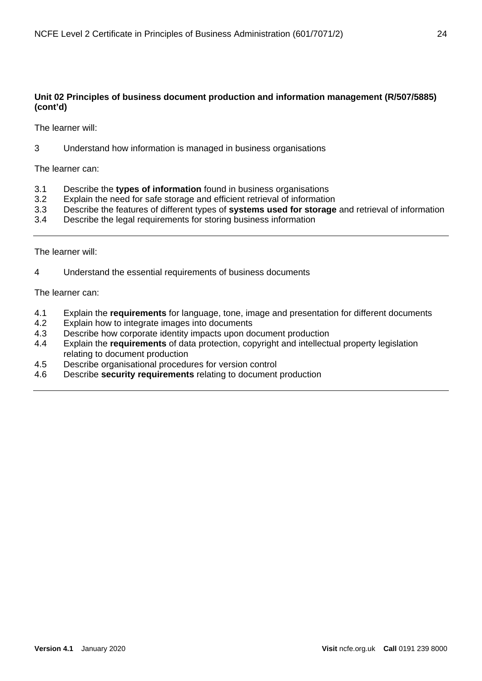#### **Unit 02 Principles of business document production and information management (R/507/5885) (cont'd)**

The learner will:

3 Understand how information is managed in business organisations

The learner can:

- 3.1 Describe the **types of information** found in business organisations
- 3.2 Explain the need for safe storage and efficient retrieval of information
- 3.3 Describe the features of different types of **systems used for storage** and retrieval of information
- 3.4 Describe the legal requirements for storing business information

The learner will:

4 Understand the essential requirements of business documents

- 4.1 Explain the **requirements** for language, tone, image and presentation for different documents
- Explain how to integrate images into documents
- 4.3 Describe how corporate identity impacts upon document production
- 4.4 Explain the **requirements** of data protection, copyright and intellectual property legislation relating to document production
- 4.5 Describe organisational procedures for version control
- 4.6 Describe **security requirements** relating to document production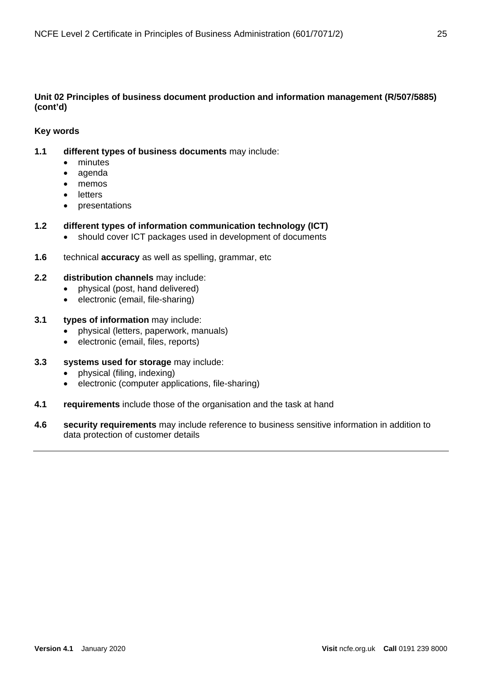#### **Unit 02 Principles of business document production and information management (R/507/5885) (cont'd)**

#### **Key words**

- **1.1 different types of business documents** may include:
	- minutes
	- agenda
	- memos
	- **letters**
	- presentations

#### **1.2 different types of information communication technology (ICT)**

- should cover ICT packages used in development of documents
- **1.6** technical **accuracy** as well as spelling, grammar, etc

#### **2.2 distribution channels** may include:

- physical (post, hand delivered)
- electronic (email, file-sharing)

#### **3.1 types of information** may include:

- physical (letters, paperwork, manuals)
- electronic (email, files, reports)
- **3.3 systems used for storage** may include:
	- physical (filing, indexing)
	- electronic (computer applications, file-sharing)
- **4.1 requirements** include those of the organisation and the task at hand
- **4.6 security requirements** may include reference to business sensitive information in addition to data protection of customer details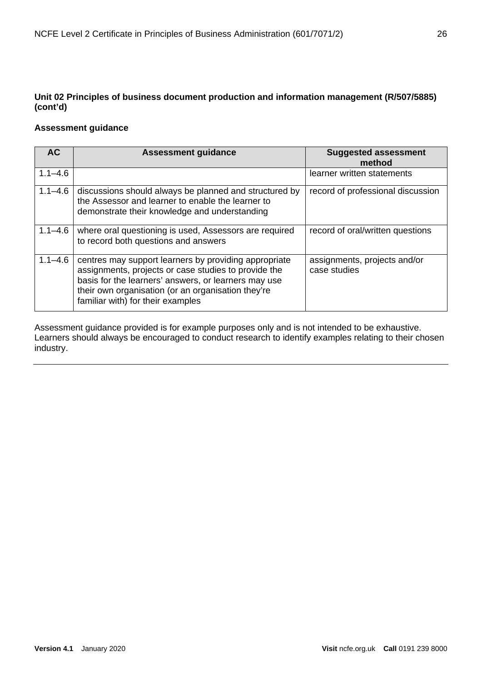#### **Unit 02 Principles of business document production and information management (R/507/5885) (cont'd)**

#### **Assessment guidance**

| AC          | <b>Assessment guidance</b>                                                                                                                                                                                                                                       | <b>Suggested assessment</b><br>method        |
|-------------|------------------------------------------------------------------------------------------------------------------------------------------------------------------------------------------------------------------------------------------------------------------|----------------------------------------------|
| $1.1 - 4.6$ |                                                                                                                                                                                                                                                                  | learner written statements                   |
| $1.1 - 4.6$ | discussions should always be planned and structured by<br>the Assessor and learner to enable the learner to<br>demonstrate their knowledge and understanding                                                                                                     | record of professional discussion            |
| $1.1 - 4.6$ | where oral questioning is used, Assessors are required<br>to record both questions and answers                                                                                                                                                                   | record of oral/written questions             |
| $1.1 - 4.6$ | centres may support learners by providing appropriate<br>assignments, projects or case studies to provide the<br>basis for the learners' answers, or learners may use<br>their own organisation (or an organisation they're<br>familiar with) for their examples | assignments, projects and/or<br>case studies |

Assessment guidance provided is for example purposes only and is not intended to be exhaustive. Learners should always be encouraged to conduct research to identify examples relating to their chosen industry.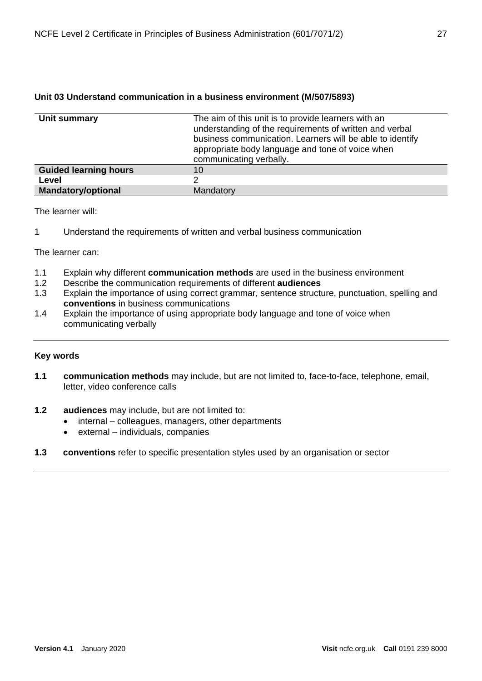| Unit summary                 | The aim of this unit is to provide learners with an<br>understanding of the requirements of written and verbal<br>business communication. Learners will be able to identify<br>appropriate body language and tone of voice when<br>communicating verbally. |
|------------------------------|------------------------------------------------------------------------------------------------------------------------------------------------------------------------------------------------------------------------------------------------------------|
| <b>Guided learning hours</b> | 10                                                                                                                                                                                                                                                         |
| Level                        |                                                                                                                                                                                                                                                            |
| <b>Mandatory/optional</b>    | Mandatory                                                                                                                                                                                                                                                  |

#### <span id="page-26-0"></span>**Unit 03 Understand communication in a business environment (M/507/5893)**

The learner will:

1 Understand the requirements of written and verbal business communication

The learner can:

- 1.1 Explain why different **communication methods** are used in the business environment
- 1.2 Describe the communication requirements of different **audiences**
- 1.3 Explain the importance of using correct grammar, sentence structure, punctuation, spelling and **conventions** in business communications
- 1.4 Explain the importance of using appropriate body language and tone of voice when communicating verbally

#### **Key words**

- **1.1 communication methods** may include, but are not limited to, face-to-face, telephone, email, letter, video conference calls
- **1.2 audiences** may include, but are not limited to:
	- internal colleagues, managers, other departments
		- external individuals, companies
- **1.3 conventions** refer to specific presentation styles used by an organisation or sector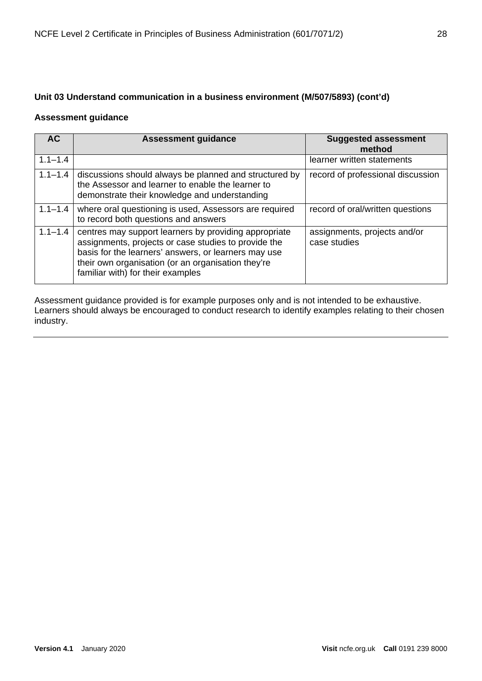#### **Unit 03 Understand communication in a business environment (M/507/5893) (cont'd)**

#### **Assessment guidance**

| <b>AC</b>   | <b>Assessment guidance</b>                                                                                                                                                                                                                                       | <b>Suggested assessment</b><br>method        |
|-------------|------------------------------------------------------------------------------------------------------------------------------------------------------------------------------------------------------------------------------------------------------------------|----------------------------------------------|
| $1.1 - 1.4$ |                                                                                                                                                                                                                                                                  | learner written statements                   |
| $1.1 - 1.4$ | discussions should always be planned and structured by<br>the Assessor and learner to enable the learner to<br>demonstrate their knowledge and understanding                                                                                                     | record of professional discussion            |
| $1.1 - 1.4$ | where oral questioning is used, Assessors are required<br>to record both questions and answers                                                                                                                                                                   | record of oral/written questions             |
| $1.1 - 1.4$ | centres may support learners by providing appropriate<br>assignments, projects or case studies to provide the<br>basis for the learners' answers, or learners may use<br>their own organisation (or an organisation they're<br>familiar with) for their examples | assignments, projects and/or<br>case studies |

Assessment guidance provided is for example purposes only and is not intended to be exhaustive. Learners should always be encouraged to conduct research to identify examples relating to their chosen industry.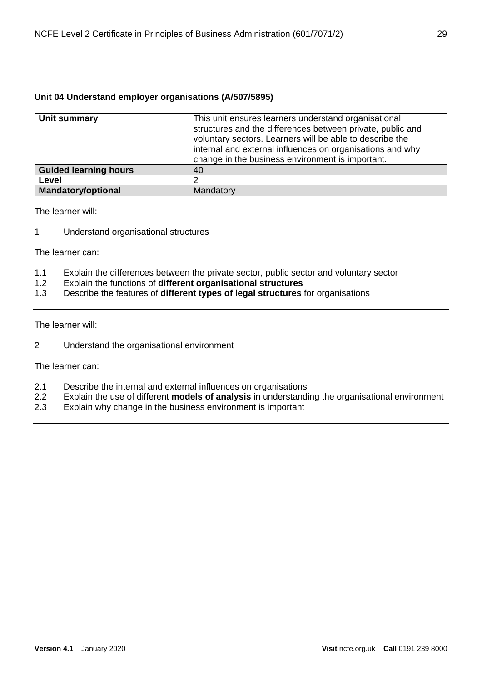#### <span id="page-28-0"></span>**Unit 04 Understand employer organisations (A/507/5895)**

| Unit summary                 | This unit ensures learners understand organisational<br>structures and the differences between private, public and<br>voluntary sectors. Learners will be able to describe the<br>internal and external influences on organisations and why<br>change in the business environment is important. |
|------------------------------|-------------------------------------------------------------------------------------------------------------------------------------------------------------------------------------------------------------------------------------------------------------------------------------------------|
| <b>Guided learning hours</b> | 40                                                                                                                                                                                                                                                                                              |
| Level                        | 2                                                                                                                                                                                                                                                                                               |
| <b>Mandatory/optional</b>    | Mandatory                                                                                                                                                                                                                                                                                       |

The learner will:

1 Understand organisational structures

The learner can:

- 1.1 Explain the differences between the private sector, public sector and voluntary sector<br>1.2 Explain the functions of **different organisational structures**
- 1.2 Explain the functions of **different organisational structures**
- 1.3 Describe the features of **different types of legal structures** for organisations

The learner will:

2 Understand the organisational environment

- 2.1 Describe the internal and external influences on organisations<br>2.2 Explain the use of different **models of analysis** in understand
- 2.2 Explain the use of different **models of analysis** in understanding the organisational environment
- Explain why change in the business environment is important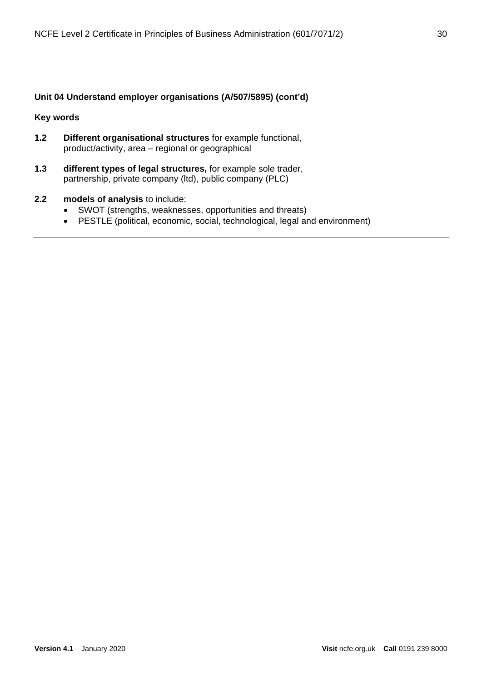#### **Unit 04 Understand employer organisations (A/507/5895) (cont'd)**

#### **Key words**

- **1.2 Different organisational structures** for example functional, product/activity, area – regional or geographical
- **1.3 different types of legal structures,** for example sole trader, partnership, private company (ltd), public company (PLC)

#### **2.2 models of analysis** to include:

- SWOT (strengths, weaknesses, opportunities and threats)
- PESTLE (political, economic, social, technological, legal and environment)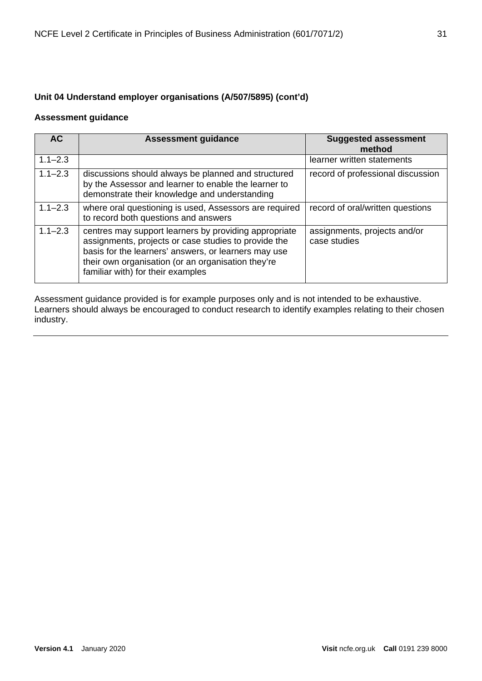#### **Unit 04 Understand employer organisations (A/507/5895) (cont'd)**

#### **Assessment guidance**

| <b>AC</b>   | <b>Assessment guidance</b>                                                                                                                                                                                                                                       | <b>Suggested assessment</b><br>method        |
|-------------|------------------------------------------------------------------------------------------------------------------------------------------------------------------------------------------------------------------------------------------------------------------|----------------------------------------------|
| $1.1 - 2.3$ |                                                                                                                                                                                                                                                                  | learner written statements                   |
| $1.1 - 2.3$ | discussions should always be planned and structured<br>by the Assessor and learner to enable the learner to<br>demonstrate their knowledge and understanding                                                                                                     | record of professional discussion            |
| $1.1 - 2.3$ | where oral questioning is used, Assessors are required<br>to record both questions and answers                                                                                                                                                                   | record of oral/written questions             |
| $1.1 - 2.3$ | centres may support learners by providing appropriate<br>assignments, projects or case studies to provide the<br>basis for the learners' answers, or learners may use<br>their own organisation (or an organisation they're<br>familiar with) for their examples | assignments, projects and/or<br>case studies |

Assessment guidance provided is for example purposes only and is not intended to be exhaustive. Learners should always be encouraged to conduct research to identify examples relating to their chosen industry.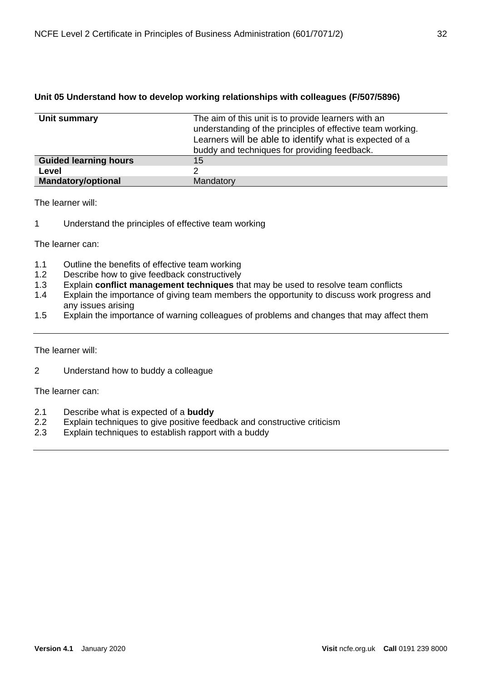#### <span id="page-31-0"></span>**Unit 05 Understand how to develop working relationships with colleagues (F/507/5896)**

| Unit summary                 | The aim of this unit is to provide learners with an        |
|------------------------------|------------------------------------------------------------|
|                              |                                                            |
|                              | understanding of the principles of effective team working. |
|                              | Learners will be able to identify what is expected of a    |
|                              | buddy and techniques for providing feedback.               |
| <b>Guided learning hours</b> | 15                                                         |
| Level                        | ⌒                                                          |
| Mandatory/optional           | Mandatory                                                  |

The learner will:

1 Understand the principles of effective team working

The learner can:

- 1.1 Outline the benefits of effective team working
- 1.2 Describe how to give feedback constructively
- 1.3 Explain **conflict management techniques** that may be used to resolve team conflicts
- 1.4 Explain the importance of giving team members the opportunity to discuss work progress and any issues arising
- 1.5 Explain the importance of warning colleagues of problems and changes that may affect them

The learner will:

2 Understand how to buddy a colleague

- 2.1 Describe what is expected of a **buddy**
- Explain techniques to give positive feedback and constructive criticism
- 2.3 Explain techniques to establish rapport with a buddy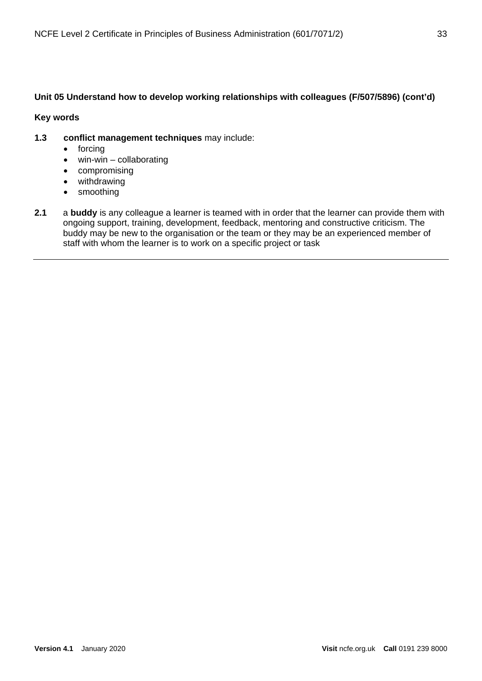#### **Unit 05 Understand how to develop working relationships with colleagues (F/507/5896) (cont'd)**

#### **Key words**

- **1.3 conflict management techniques** may include:
	- forcing
	- $\bullet$  win-win collaborating
	- compromising
	- withdrawing
	- smoothing
- **2.1** a **buddy** is any colleague a learner is teamed with in order that the learner can provide them with ongoing support, training, development, feedback, mentoring and constructive criticism. The buddy may be new to the organisation or the team or they may be an experienced member of staff with whom the learner is to work on a specific project or task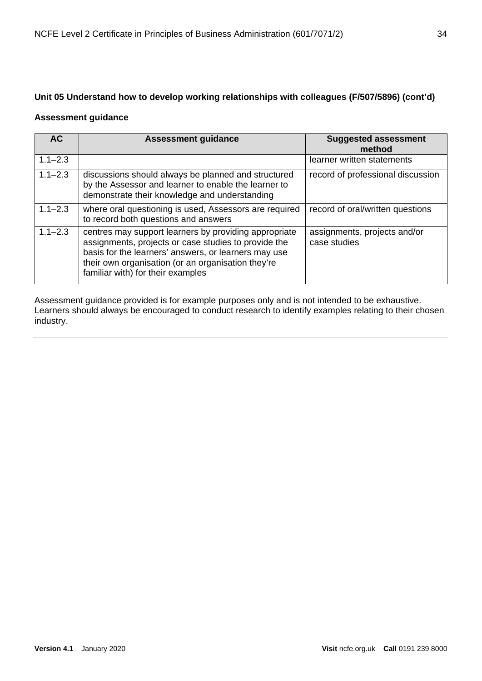#### **Unit 05 Understand how to develop working relationships with colleagues (F/507/5896) (cont'd)**

#### **Assessment guidance**

| <b>AC</b>   | <b>Assessment guidance</b>                                                                                                                                                                                                                                       | <b>Suggested assessment</b><br>method        |
|-------------|------------------------------------------------------------------------------------------------------------------------------------------------------------------------------------------------------------------------------------------------------------------|----------------------------------------------|
| $1.1 - 2.3$ |                                                                                                                                                                                                                                                                  | learner written statements                   |
| $1.1 - 2.3$ | discussions should always be planned and structured<br>by the Assessor and learner to enable the learner to<br>demonstrate their knowledge and understanding                                                                                                     | record of professional discussion            |
| $1.1 - 2.3$ | where oral questioning is used, Assessors are required<br>to record both questions and answers                                                                                                                                                                   | record of oral/written questions             |
| $1.1 - 2.3$ | centres may support learners by providing appropriate<br>assignments, projects or case studies to provide the<br>basis for the learners' answers, or learners may use<br>their own organisation (or an organisation they're<br>familiar with) for their examples | assignments, projects and/or<br>case studies |

Assessment guidance provided is for example purposes only and is not intended to be exhaustive. Learners should always be encouraged to conduct research to identify examples relating to their chosen industry.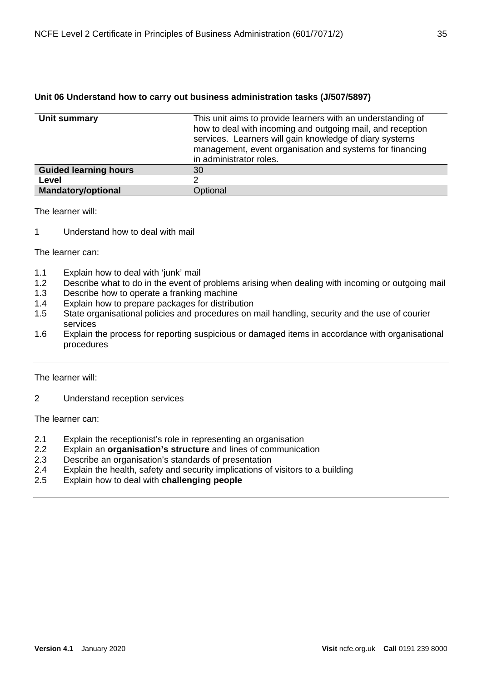#### <span id="page-34-0"></span>**Unit 06 Understand how to carry out business administration tasks (J/507/5897)**

| Unit summary                 | This unit aims to provide learners with an understanding of<br>how to deal with incoming and outgoing mail, and reception<br>services. Learners will gain knowledge of diary systems<br>management, event organisation and systems for financing<br>in administrator roles. |
|------------------------------|-----------------------------------------------------------------------------------------------------------------------------------------------------------------------------------------------------------------------------------------------------------------------------|
| <b>Guided learning hours</b> | 30                                                                                                                                                                                                                                                                          |
| Level                        |                                                                                                                                                                                                                                                                             |
| <b>Mandatory/optional</b>    | Optional                                                                                                                                                                                                                                                                    |

The learner will:

1 Understand how to deal with mail

The learner can:

- 1.1 Explain how to deal with 'junk' mail
- 1.2 Describe what to do in the event of problems arising when dealing with incoming or outgoing mail
- 1.3 Describe how to operate a franking machine
- 1.4 Explain how to prepare packages for distribution<br>1.5 State organisational policies and procedures on r
- State organisational policies and procedures on mail handling, security and the use of courier services
- 1.6 Explain the process for reporting suspicious or damaged items in accordance with organisational procedures

The learner will:

2 Understand reception services

- 2.1 Explain the receptionist's role in representing an organisation
- 2.2 Explain an **organisation's structure** and lines of communication<br>2.3 Describe an organisation's standards of presentation
- Describe an organisation's standards of presentation
- 2.4 Explain the health, safety and security implications of visitors to a building
- 2.5 Explain how to deal with **challenging people**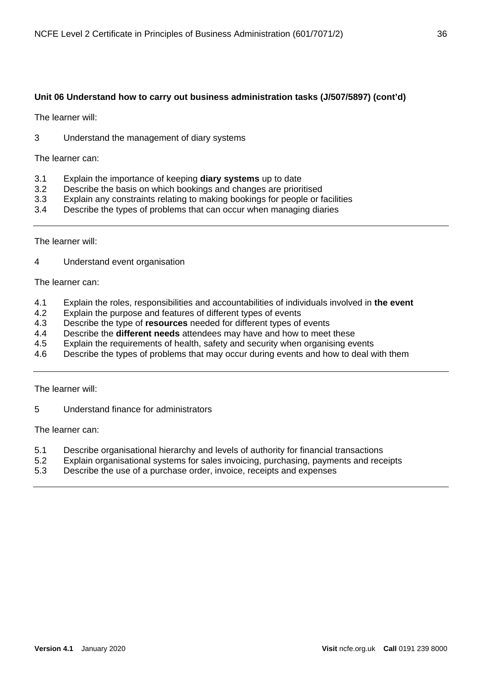#### **Unit 06 Understand how to carry out business administration tasks (J/507/5897) (cont'd)**

The learner will:

3 Understand the management of diary systems

The learner can:

- 3.1 Explain the importance of keeping **diary systems** up to date
- 3.2 Describe the basis on which bookings and changes are prioritised
- 3.3 Explain any constraints relating to making bookings for people or facilities
- 3.4 Describe the types of problems that can occur when managing diaries

The learner will:

4 Understand event organisation

The learner can:

- 4.1 Explain the roles, responsibilities and accountabilities of individuals involved in **the event**
- 4.2 Explain the purpose and features of different types of events
- 4.3 Describe the type of **resources** needed for different types of events
- 4.4 Describe the **different needs** attendees may have and how to meet these<br>4.5 Explain the requirements of health, safety and security when organising ev
- Explain the requirements of health, safety and security when organising events
- 4.6 Describe the types of problems that may occur during events and how to deal with them

The learner will:

5 Understand finance for administrators

- 5.1 Describe organisational hierarchy and levels of authority for financial transactions
- 5.2 Explain organisational systems for sales invoicing, purchasing, payments and receipts
- 5.3 Describe the use of a purchase order, invoice, receipts and expenses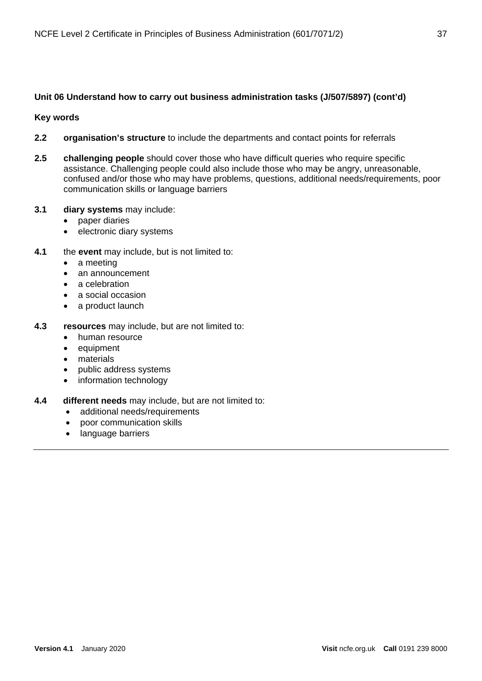## **Unit 06 Understand how to carry out business administration tasks (J/507/5897) (cont'd)**

#### **Key words**

- **2.2 organisation's structure** to include the departments and contact points for referrals
- **2.5 challenging people** should cover those who have difficult queries who require specific assistance. Challenging people could also include those who may be angry, unreasonable, confused and/or those who may have problems, questions, additional needs/requirements, poor communication skills or language barriers
- **3.1 diary systems** may include:
	- paper diaries
	- electronic diary systems
- **4.1** the **event** may include, but is not limited to:
	- a meeting
	- an announcement
	- a celebration
	- a social occasion
	- a product launch
- **4.3 resources** may include, but are not limited to:
	- human resource
	- equipment
	- materials
	- public address systems
	- information technology
- **4.4 different needs** may include, but are not limited to:
	- additional needs/requirements
	- poor communication skills
	- language barriers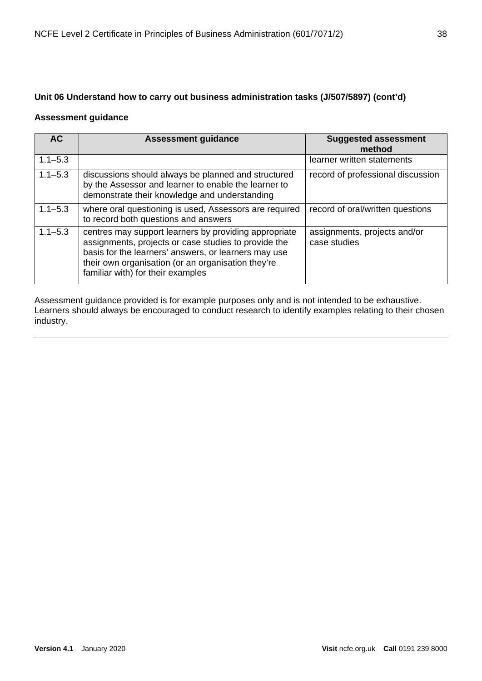# **Unit 06 Understand how to carry out business administration tasks (J/507/5897) (cont'd)**

#### **Assessment guidance**

| <b>AC</b>   | <b>Assessment guidance</b>                                                                                                                                                                                                                                       | <b>Suggested assessment</b><br>method        |
|-------------|------------------------------------------------------------------------------------------------------------------------------------------------------------------------------------------------------------------------------------------------------------------|----------------------------------------------|
| $1.1 - 5.3$ |                                                                                                                                                                                                                                                                  | learner written statements                   |
| $1.1 - 5.3$ | discussions should always be planned and structured<br>by the Assessor and learner to enable the learner to<br>demonstrate their knowledge and understanding                                                                                                     | record of professional discussion            |
| $1.1 - 5.3$ | where oral questioning is used, Assessors are required<br>to record both questions and answers                                                                                                                                                                   | record of oral/written questions             |
| $1.1 - 5.3$ | centres may support learners by providing appropriate<br>assignments, projects or case studies to provide the<br>basis for the learners' answers, or learners may use<br>their own organisation (or an organisation they're<br>familiar with) for their examples | assignments, projects and/or<br>case studies |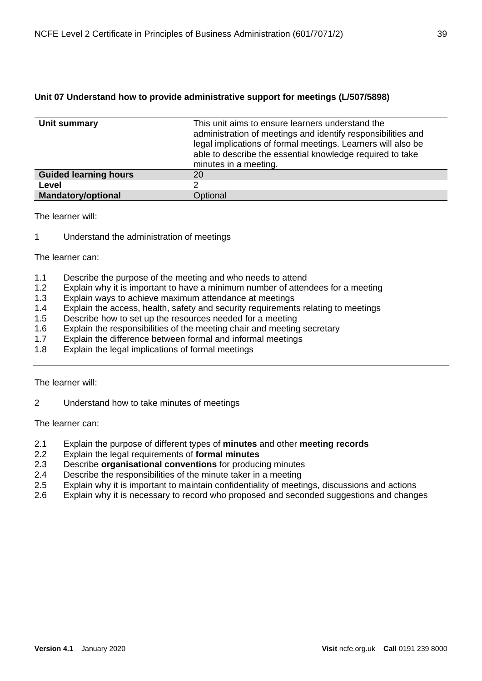## **Unit 07 Understand how to provide administrative support for meetings (L/507/5898)**

| Unit summary                 | This unit aims to ensure learners understand the<br>administration of meetings and identify responsibilities and<br>legal implications of formal meetings. Learners will also be<br>able to describe the essential knowledge required to take<br>minutes in a meeting. |
|------------------------------|------------------------------------------------------------------------------------------------------------------------------------------------------------------------------------------------------------------------------------------------------------------------|
| <b>Guided learning hours</b> | 20                                                                                                                                                                                                                                                                     |
| Level                        |                                                                                                                                                                                                                                                                        |
| <b>Mandatory/optional</b>    | Optional                                                                                                                                                                                                                                                               |

The learner will:

1 Understand the administration of meetings

#### The learner can:

- 1.1 Describe the purpose of the meeting and who needs to attend
- 1.2 Explain why it is important to have a minimum number of attendees for a meeting
- 1.3 Explain ways to achieve maximum attendance at meetings
- 1.4 Explain the access, health, safety and security requirements relating to meetings
- 1.5 Describe how to set up the resources needed for a meeting
- 1.6 Explain the responsibilities of the meeting chair and meeting secretary
- 1.7 Explain the difference between formal and informal meetings
- 1.8 Explain the legal implications of formal meetings

#### The learner will:

2 Understand how to take minutes of meetings

- 2.1 Explain the purpose of different types of **minutes** and other **meeting records**
- 2.2 Explain the legal requirements of **formal minutes**
- 2.3 Describe **organisational conventions** for producing minutes
- 2.4 Describe the responsibilities of the minute taker in a meeting
- 2.5 Explain why it is important to maintain confidentiality of meetings, discussions and actions
- 2.6 Explain why it is necessary to record who proposed and seconded suggestions and changes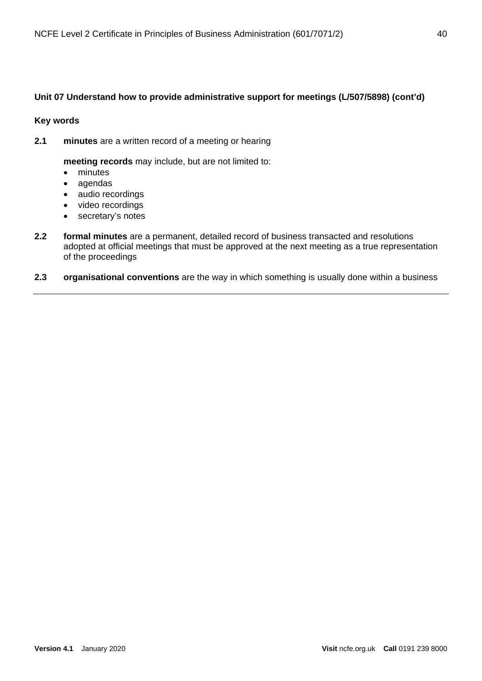## **Unit 07 Understand how to provide administrative support for meetings (L/507/5898) (cont'd)**

#### **Key words**

**2.1 minutes** are a written record of a meeting or hearing

**meeting records** may include, but are not limited to:

- minutes
- agendas
- audio recordings
- video recordings
- secretary's notes
- **2.2 formal minutes** are a permanent, detailed record of business transacted and resolutions adopted at official meetings that must be approved at the next meeting as a true representation of the proceedings

#### **2.3 organisational conventions** are the way in which something is usually done within a business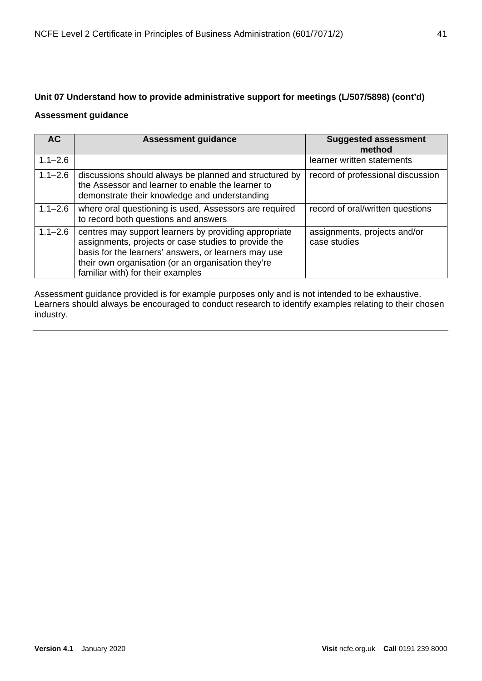# **Unit 07 Understand how to provide administrative support for meetings (L/507/5898) (cont'd)**

### **Assessment guidance**

| AC          | <b>Assessment guidance</b>                                                                                                                                                                                                                                       | <b>Suggested assessment</b><br>method        |
|-------------|------------------------------------------------------------------------------------------------------------------------------------------------------------------------------------------------------------------------------------------------------------------|----------------------------------------------|
| $1.1 - 2.6$ |                                                                                                                                                                                                                                                                  | learner written statements                   |
| $1.1 - 2.6$ | discussions should always be planned and structured by<br>the Assessor and learner to enable the learner to<br>demonstrate their knowledge and understanding                                                                                                     | record of professional discussion            |
| $1.1 - 2.6$ | where oral questioning is used, Assessors are required<br>to record both questions and answers                                                                                                                                                                   | record of oral/written questions             |
| $1.1 - 2.6$ | centres may support learners by providing appropriate<br>assignments, projects or case studies to provide the<br>basis for the learners' answers, or learners may use<br>their own organisation (or an organisation they're<br>familiar with) for their examples | assignments, projects and/or<br>case studies |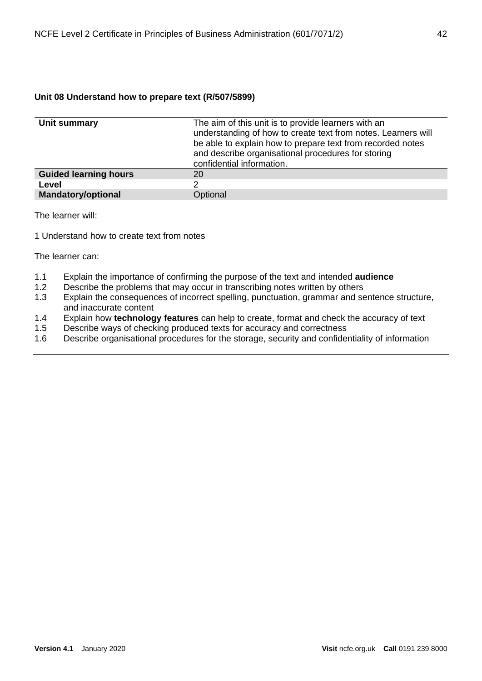## **Unit 08 Understand how to prepare text (R/507/5899)**

| Unit summary                 | The aim of this unit is to provide learners with an<br>understanding of how to create text from notes. Learners will<br>be able to explain how to prepare text from recorded notes<br>and describe organisational procedures for storing<br>confidential information. |
|------------------------------|-----------------------------------------------------------------------------------------------------------------------------------------------------------------------------------------------------------------------------------------------------------------------|
| <b>Guided learning hours</b> | 20                                                                                                                                                                                                                                                                    |
| Level                        | 2                                                                                                                                                                                                                                                                     |
| <b>Mandatory/optional</b>    | Optional                                                                                                                                                                                                                                                              |

The learner will:

1 Understand how to create text from notes

- 1.1 Explain the importance of confirming the purpose of the text and intended **audience**
- Describe the problems that may occur in transcribing notes written by others
- 1.3 Explain the consequences of incorrect spelling, punctuation, grammar and sentence structure, and inaccurate content
- 1.4 Explain how **technology features** can help to create, format and check the accuracy of text
- Describe ways of checking produced texts for accuracy and correctness
- 1.6 Describe organisational procedures for the storage, security and confidentiality of information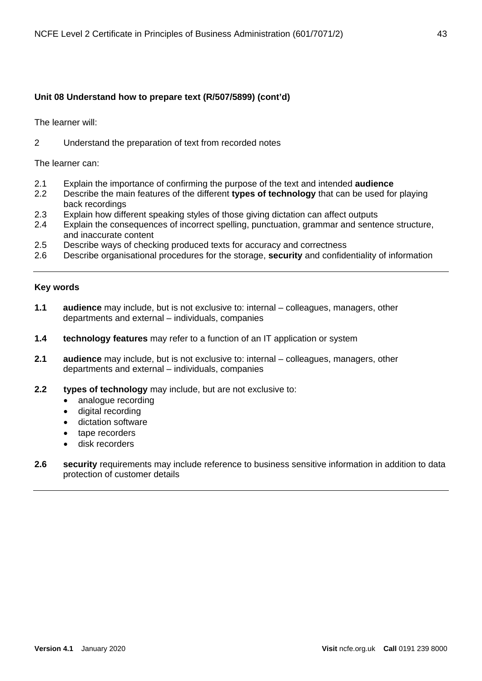## **Unit 08 Understand how to prepare text (R/507/5899) (cont'd)**

The learner will:

2 Understand the preparation of text from recorded notes

The learner can:

- 2.1 Explain the importance of confirming the purpose of the text and intended **audience**
- 2.2 Describe the main features of the different **types of technology** that can be used for playing back recordings
- 2.3 Explain how different speaking styles of those giving dictation can affect outputs
- 2.4 Explain the consequences of incorrect spelling, punctuation, grammar and sentence structure, and inaccurate content
- 2.5 Describe ways of checking produced texts for accuracy and correctness
- 2.6 Describe organisational procedures for the storage, **security** and confidentiality of information

#### **Key words**

- **1.1 audience** may include, but is not exclusive to: internal colleagues, managers, other departments and external – individuals, companies
- **1.4 technology features** may refer to a function of an IT application or system
- **2.1 audience** may include, but is not exclusive to: internal colleagues, managers, other departments and external – individuals, companies
- **2.2 types of technology** may include, but are not exclusive to:
	- analogue recording
	- digital recording
	- dictation software
	- tape recorders
	- disk recorders
- **2.6 security** requirements may include reference to business sensitive information in addition to data protection of customer details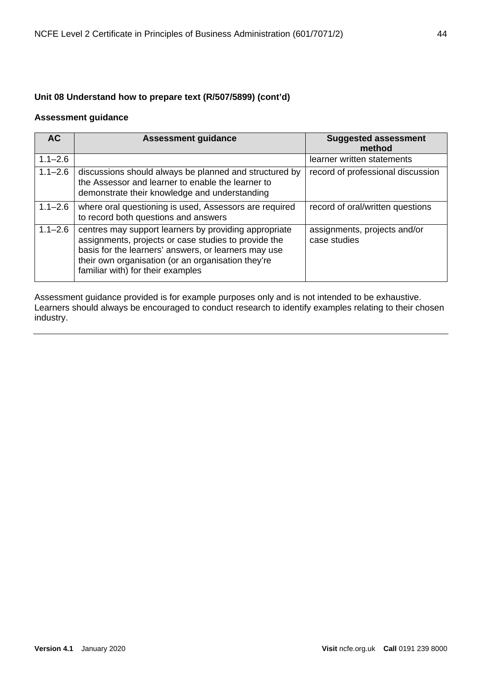## **Unit 08 Understand how to prepare text (R/507/5899) (cont'd)**

### **Assessment guidance**

| <b>AC</b>   | <b>Assessment guidance</b>                                                                                                                                                                                                                                       | <b>Suggested assessment</b><br>method        |
|-------------|------------------------------------------------------------------------------------------------------------------------------------------------------------------------------------------------------------------------------------------------------------------|----------------------------------------------|
| $1.1 - 2.6$ |                                                                                                                                                                                                                                                                  | learner written statements                   |
| $1.1 - 2.6$ | discussions should always be planned and structured by<br>the Assessor and learner to enable the learner to<br>demonstrate their knowledge and understanding                                                                                                     | record of professional discussion            |
| $1.1 - 2.6$ | where oral questioning is used, Assessors are required<br>to record both questions and answers                                                                                                                                                                   | record of oral/written questions             |
| $1.1 - 2.6$ | centres may support learners by providing appropriate<br>assignments, projects or case studies to provide the<br>basis for the learners' answers, or learners may use<br>their own organisation (or an organisation they're<br>familiar with) for their examples | assignments, projects and/or<br>case studies |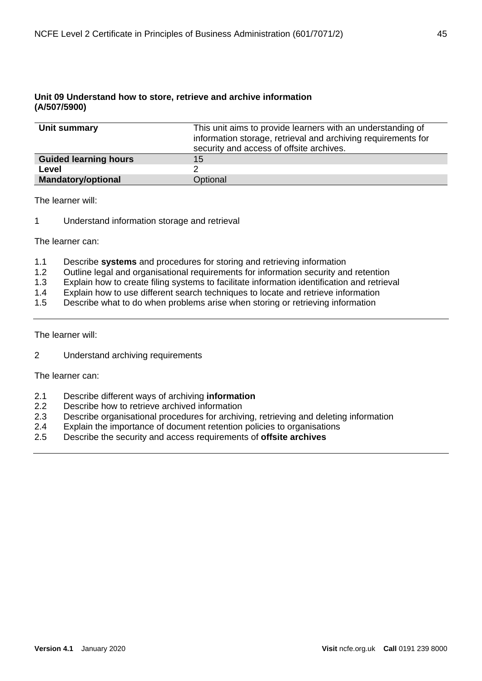#### **Unit 09 Understand how to store, retrieve and archive information (A/507/5900)**

| Unit summary                 | This unit aims to provide learners with an understanding of<br>information storage, retrieval and archiving requirements for<br>security and access of offsite archives. |
|------------------------------|--------------------------------------------------------------------------------------------------------------------------------------------------------------------------|
| <b>Guided learning hours</b> | 15                                                                                                                                                                       |
| Level                        |                                                                                                                                                                          |
| <b>Mandatory/optional</b>    | Optional                                                                                                                                                                 |

The learner will:

1 Understand information storage and retrieval

The learner can:

- 1.1 Describe **systems** and procedures for storing and retrieving information
- 1.2 Outline legal and organisational requirements for information security and retention
- 1.3 Explain how to create filing systems to facilitate information identification and retrieval
- 1.4 Explain how to use different search techniques to locate and retrieve information
- 1.5 Describe what to do when problems arise when storing or retrieving information

The learner will:

2 Understand archiving requirements

- 2.1 Describe different ways of archiving **information**
- Describe how to retrieve archived information
- 2.3 Describe organisational procedures for archiving, retrieving and deleting information
- 2.4 Explain the importance of document retention policies to organisations
- 2.5 Describe the security and access requirements of **offsite archives**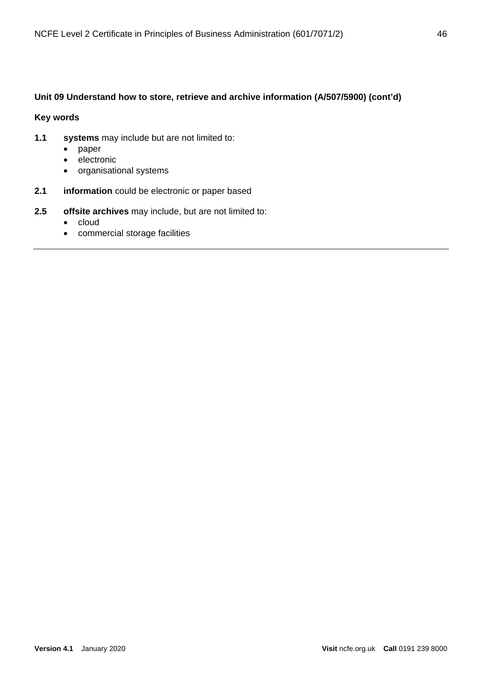## **Unit 09 Understand how to store, retrieve and archive information (A/507/5900) (cont'd)**

### **Key words**

- **1.1 systems** may include but are not limited to:
	- paper
	- electronic
	- organisational systems
- **2.1 information** could be electronic or paper based
- **2.5 offsite archives** may include, but are not limited to:
	- cloud
	- commercial storage facilities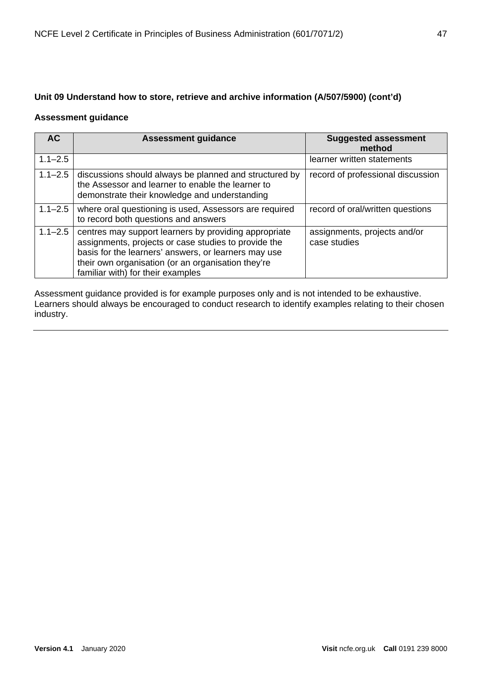# **Unit 09 Understand how to store, retrieve and archive information (A/507/5900) (cont'd)**

## **Assessment guidance**

| <b>AC</b>   | <b>Assessment guidance</b>                                                                                                                                                                                                                                       | <b>Suggested assessment</b><br>method        |
|-------------|------------------------------------------------------------------------------------------------------------------------------------------------------------------------------------------------------------------------------------------------------------------|----------------------------------------------|
| $1.1 - 2.5$ |                                                                                                                                                                                                                                                                  | learner written statements                   |
| $1.1 - 2.5$ | discussions should always be planned and structured by<br>the Assessor and learner to enable the learner to<br>demonstrate their knowledge and understanding                                                                                                     | record of professional discussion            |
| $1.1 - 2.5$ | where oral questioning is used, Assessors are required<br>to record both questions and answers                                                                                                                                                                   | record of oral/written questions             |
| $1.1 - 2.5$ | centres may support learners by providing appropriate<br>assignments, projects or case studies to provide the<br>basis for the learners' answers, or learners may use<br>their own organisation (or an organisation they're<br>familiar with) for their examples | assignments, projects and/or<br>case studies |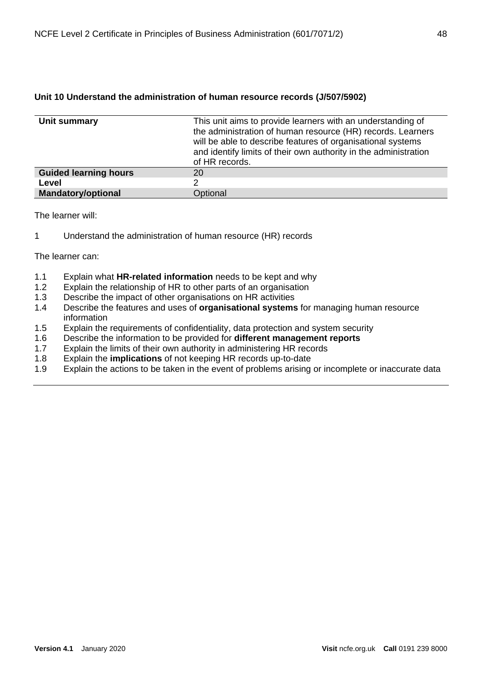## **Unit 10 Understand the administration of human resource records (J/507/5902)**

| Unit summary                 | This unit aims to provide learners with an understanding of<br>the administration of human resource (HR) records. Learners<br>will be able to describe features of organisational systems<br>and identify limits of their own authority in the administration<br>of HR records. |
|------------------------------|---------------------------------------------------------------------------------------------------------------------------------------------------------------------------------------------------------------------------------------------------------------------------------|
| <b>Guided learning hours</b> | 20                                                                                                                                                                                                                                                                              |
| Level                        |                                                                                                                                                                                                                                                                                 |
| <b>Mandatory/optional</b>    | Optional                                                                                                                                                                                                                                                                        |

The learner will:

1 Understand the administration of human resource (HR) records

- 1.1 Explain what **HR-related information** needs to be kept and why
- Explain the relationship of HR to other parts of an organisation
- 1.3 Describe the impact of other organisations on HR activities<br>1.4 Describe the features and uses of **organisational systems**
- Describe the features and uses of **organisational systems** for managing human resource information
- 1.5 Explain the requirements of confidentiality, data protection and system security
- 1.6 Describe the information to be provided for **different management reports**
- 1.7 Explain the limits of their own authority in administering HR records
- 1.8 Explain the **implications** of not keeping HR records up-to-date
- 1.9 Explain the actions to be taken in the event of problems arising or incomplete or inaccurate data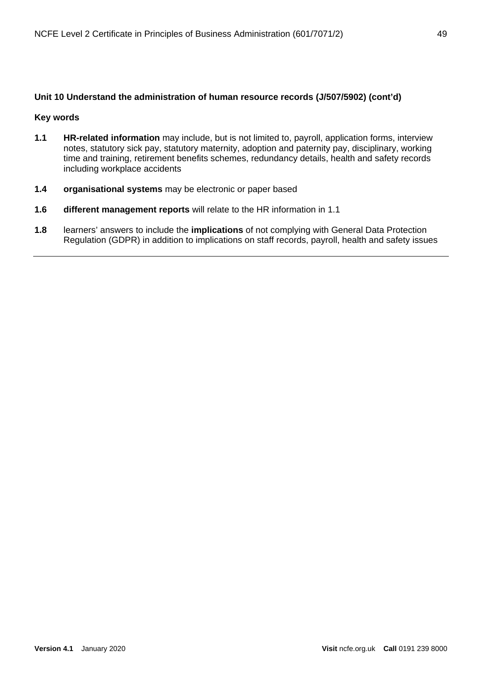## **Unit 10 Understand the administration of human resource records (J/507/5902) (cont'd)**

#### **Key words**

- **1.1 HR-related information** may include, but is not limited to, payroll, application forms, interview notes, statutory sick pay, statutory maternity, adoption and paternity pay, disciplinary, working time and training, retirement benefits schemes, redundancy details, health and safety records including workplace accidents
- **1.4 organisational systems** may be electronic or paper based
- **1.6 different management reports** will relate to the HR information in 1.1
- **1.8** learners' answers to include the **implications** of not complying with General Data Protection Regulation (GDPR) in addition to implications on staff records, payroll, health and safety issues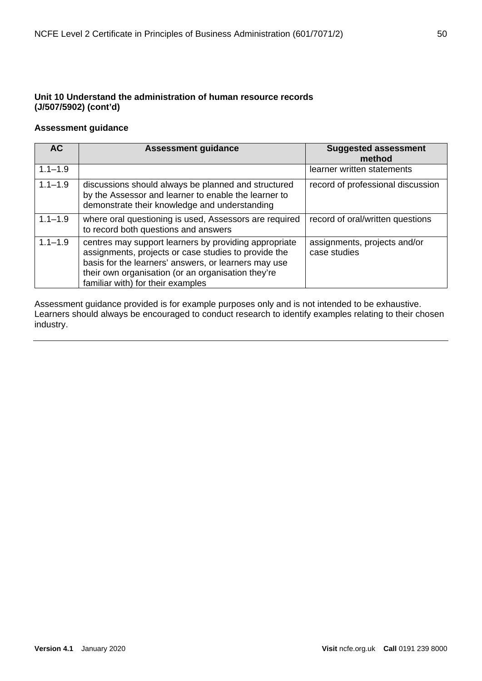# **Unit 10 Understand the administration of human resource records (J/507/5902) (cont'd)**

## **Assessment guidance**

| <b>AC</b>   | <b>Assessment guidance</b>                                                                                                                                                                                                                                       | <b>Suggested assessment</b><br>method        |
|-------------|------------------------------------------------------------------------------------------------------------------------------------------------------------------------------------------------------------------------------------------------------------------|----------------------------------------------|
| $1.1 - 1.9$ |                                                                                                                                                                                                                                                                  | learner written statements                   |
| $1.1 - 1.9$ | discussions should always be planned and structured<br>by the Assessor and learner to enable the learner to<br>demonstrate their knowledge and understanding                                                                                                     | record of professional discussion            |
| $1.1 - 1.9$ | where oral questioning is used, Assessors are required<br>to record both questions and answers                                                                                                                                                                   | record of oral/written questions             |
| $1.1 - 1.9$ | centres may support learners by providing appropriate<br>assignments, projects or case studies to provide the<br>basis for the learners' answers, or learners may use<br>their own organisation (or an organisation they're<br>familiar with) for their examples | assignments, projects and/or<br>case studies |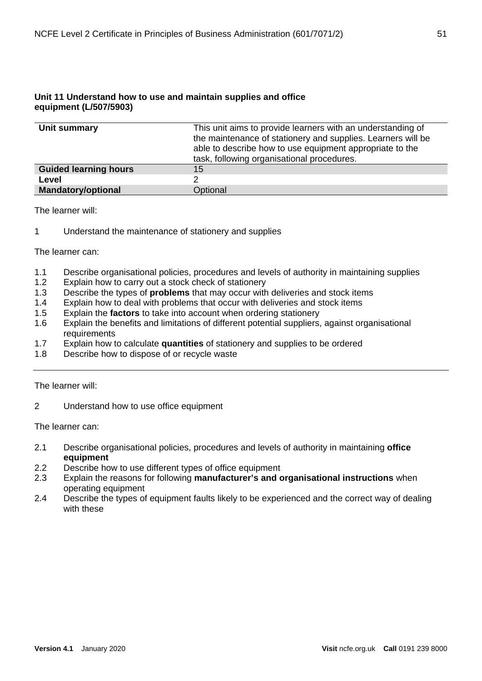## **Unit 11 Understand how to use and maintain supplies and office equipment (L/507/5903)**

| Unit summary                 | This unit aims to provide learners with an understanding of<br>the maintenance of stationery and supplies. Learners will be<br>able to describe how to use equipment appropriate to the<br>task, following organisational procedures. |
|------------------------------|---------------------------------------------------------------------------------------------------------------------------------------------------------------------------------------------------------------------------------------|
| <b>Guided learning hours</b> | 15                                                                                                                                                                                                                                    |
| Level                        |                                                                                                                                                                                                                                       |
| <b>Mandatory/optional</b>    | Optional                                                                                                                                                                                                                              |

The learner will:

1 Understand the maintenance of stationery and supplies

The learner can:

- 1.1 Describe organisational policies, procedures and levels of authority in maintaining supplies
- 1.2 Explain how to carry out a stock check of stationery
- 1.3 Describe the types of **problems** that may occur with deliveries and stock items
- 1.4 Explain how to deal with problems that occur with deliveries and stock items
- 1.5 Explain the **factors** to take into account when ordering stationery
- Explain the benefits and limitations of different potential suppliers, against organisational requirements
- 1.7 Explain how to calculate **quantities** of stationery and supplies to be ordered
- 1.8 Describe how to dispose of or recycle waste

The learner will:

2 Understand how to use office equipment

- 2.1 Describe organisational policies, procedures and levels of authority in maintaining **office equipment**
- 2.2 Describe how to use different types of office equipment
- 2.3 Explain the reasons for following **manufacturer's and organisational instructions** when operating equipment
- 2.4 Describe the types of equipment faults likely to be experienced and the correct way of dealing with these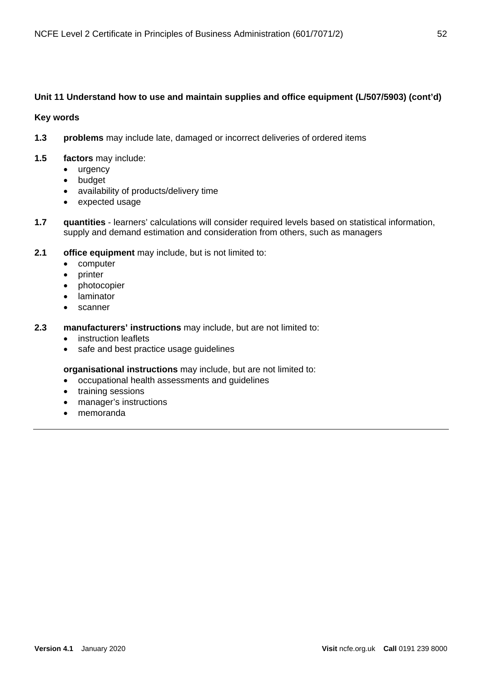## **Unit 11 Understand how to use and maintain supplies and office equipment (L/507/5903) (cont'd)**

**Key words**

- **1.3 problems** may include late, damaged or incorrect deliveries of ordered items
- **1.5 factors** may include:
	- urgency
	- budget
	- availability of products/delivery time
	- expected usage
- **1.7 quantities** learners' calculations will consider required levels based on statistical information, supply and demand estimation and consideration from others, such as managers
- **2.1 office equipment** may include, but is not limited to:
	- computer
	- printer
	- photocopier
	- laminator
	- scanner
- **2.3 manufacturers' instructions** may include, but are not limited to:
	- instruction leaflets
	- safe and best practice usage guidelines

**organisational instructions** may include, but are not limited to:

- occupational health assessments and guidelines
- training sessions
- manager's instructions
- memoranda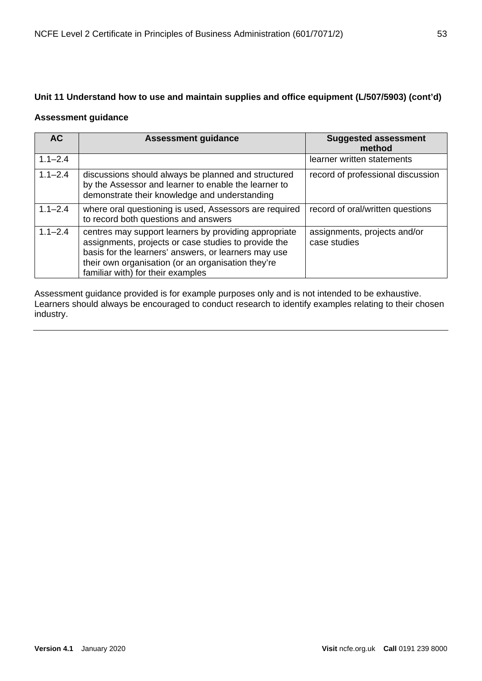# **Unit 11 Understand how to use and maintain supplies and office equipment (L/507/5903) (cont'd)**

## **Assessment guidance**

| <b>AC</b>   | <b>Assessment guidance</b>                                                                                                                                                                                                                                       | <b>Suggested assessment</b><br>method        |
|-------------|------------------------------------------------------------------------------------------------------------------------------------------------------------------------------------------------------------------------------------------------------------------|----------------------------------------------|
| $1.1 - 2.4$ |                                                                                                                                                                                                                                                                  | learner written statements                   |
| $1.1 - 2.4$ | discussions should always be planned and structured<br>by the Assessor and learner to enable the learner to<br>demonstrate their knowledge and understanding                                                                                                     | record of professional discussion            |
| $1.1 - 2.4$ | where oral questioning is used, Assessors are required<br>to record both questions and answers                                                                                                                                                                   | record of oral/written questions             |
| $1.1 - 2.4$ | centres may support learners by providing appropriate<br>assignments, projects or case studies to provide the<br>basis for the learners' answers, or learners may use<br>their own organisation (or an organisation they're<br>familiar with) for their examples | assignments, projects and/or<br>case studies |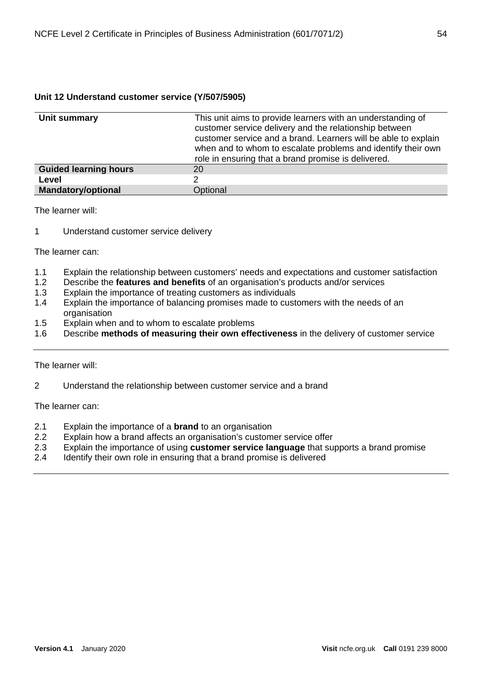## **Unit 12 Understand customer service (Y/507/5905)**

| Unit summary                 | This unit aims to provide learners with an understanding of<br>customer service delivery and the relationship between<br>customer service and a brand. Learners will be able to explain<br>when and to whom to escalate problems and identify their own<br>role in ensuring that a brand promise is delivered. |
|------------------------------|----------------------------------------------------------------------------------------------------------------------------------------------------------------------------------------------------------------------------------------------------------------------------------------------------------------|
| <b>Guided learning hours</b> | 20                                                                                                                                                                                                                                                                                                             |
| Level                        | ?                                                                                                                                                                                                                                                                                                              |
| <b>Mandatory/optional</b>    | Optional                                                                                                                                                                                                                                                                                                       |

The learner will:

1 Understand customer service delivery

The learner can:

- 1.1 Explain the relationship between customers' needs and expectations and customer satisfaction
- 1.2 Describe the **features and benefits** of an organisation's products and/or services
- 1.3 Explain the importance of treating customers as individuals
- 1.4 Explain the importance of balancing promises made to customers with the needs of an organisation
- 1.5 Explain when and to whom to escalate problems
- 1.6 Describe **methods of measuring their own effectiveness** in the delivery of customer service

The learner will:

2 Understand the relationship between customer service and a brand

- 2.1 Explain the importance of a **brand** to an organisation
- 2.2 Explain how a brand affects an organisation's customer service offer
- 2.3 Explain the importance of using **customer service language** that supports a brand promise
- 2.4 Identify their own role in ensuring that a brand promise is delivered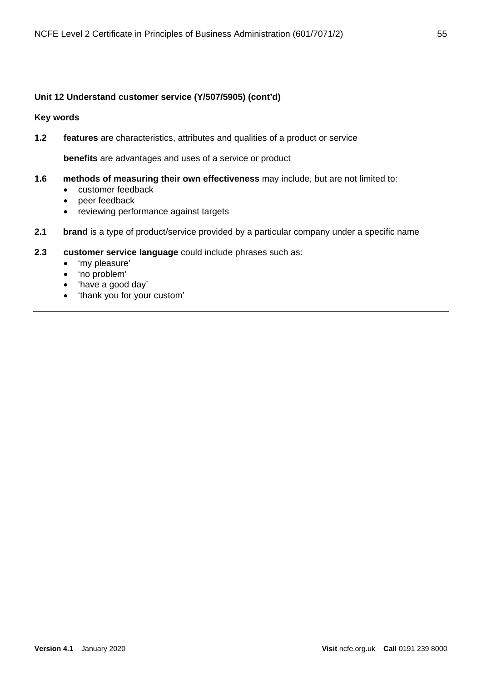## **Unit 12 Understand customer service (Y/507/5905) (cont'd)**

**Key words**

**1.2 features** are characteristics, attributes and qualities of a product or service

**benefits** are advantages and uses of a service or product

- **1.6 methods of measuring their own effectiveness** may include, but are not limited to:
	- customer feedback
	- peer feedback
	- reviewing performance against targets
- **2.1 brand** is a type of product/service provided by a particular company under a specific name

## **2.3 customer service language** could include phrases such as:

- 'my pleasure'
- 'no problem'
- 'have a good day'
- 'thank you for your custom'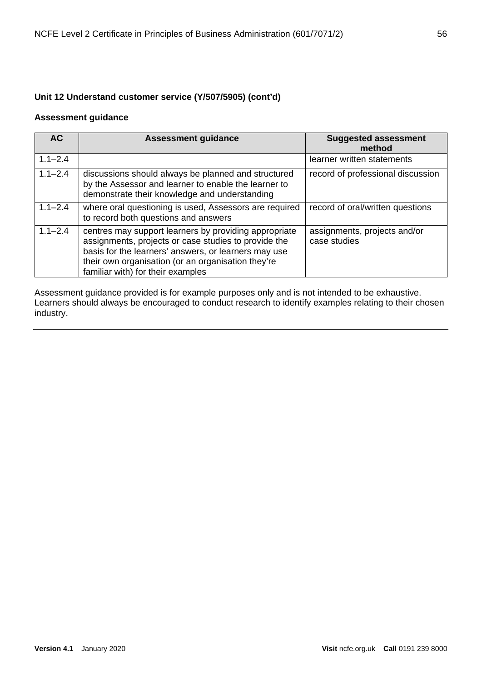# **Unit 12 Understand customer service (Y/507/5905) (cont'd)**

### **Assessment guidance**

| <b>AC</b>   | <b>Assessment guidance</b>                                                                                                                                                                                                                                       | <b>Suggested assessment</b><br>method        |
|-------------|------------------------------------------------------------------------------------------------------------------------------------------------------------------------------------------------------------------------------------------------------------------|----------------------------------------------|
| $1.1 - 2.4$ |                                                                                                                                                                                                                                                                  | learner written statements                   |
| $1.1 - 2.4$ | discussions should always be planned and structured<br>by the Assessor and learner to enable the learner to<br>demonstrate their knowledge and understanding                                                                                                     | record of professional discussion            |
| $1.1 - 2.4$ | where oral questioning is used, Assessors are required<br>to record both questions and answers                                                                                                                                                                   | record of oral/written questions             |
| $1.1 - 2.4$ | centres may support learners by providing appropriate<br>assignments, projects or case studies to provide the<br>basis for the learners' answers, or learners may use<br>their own organisation (or an organisation they're<br>familiar with) for their examples | assignments, projects and/or<br>case studies |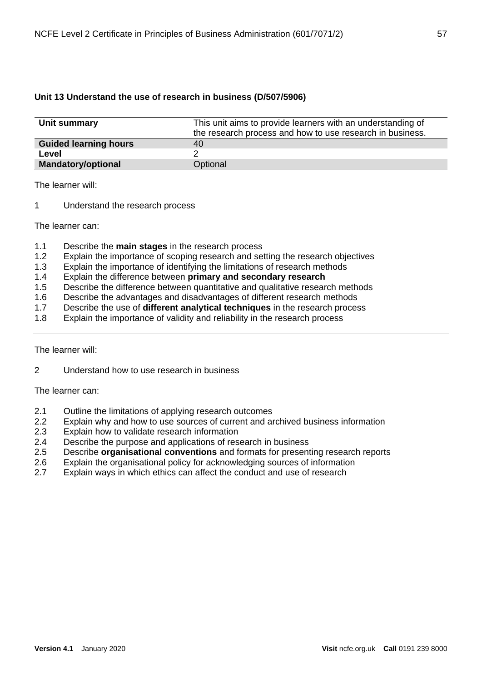## **Unit 13 Understand the use of research in business (D/507/5906)**

| Unit summary                 | This unit aims to provide learners with an understanding of<br>the research process and how to use research in business. |
|------------------------------|--------------------------------------------------------------------------------------------------------------------------|
| <b>Guided learning hours</b> | 40                                                                                                                       |
| Level                        |                                                                                                                          |
| <b>Mandatory/optional</b>    | Optional                                                                                                                 |

The learner will:

1 Understand the research process

The learner can:

- 1.1 Describe the **main stages** in the research process
- 1.2 Explain the importance of scoping research and setting the research objectives
- 1.3 Explain the importance of identifying the limitations of research methods
- 1.4 Explain the difference between **primary and secondary research**
- 1.5 Describe the difference between quantitative and qualitative research methods
- 1.6 Describe the advantages and disadvantages of different research methods<br>1.7 Describe the use of **different analytical techniques** in the research proces
- 1.7 Describe the use of **different analytical techniques** in the research process
- 1.8 Explain the importance of validity and reliability in the research process

The learner will:

2 Understand how to use research in business

- 2.1 Outline the limitations of applying research outcomes<br>2.2 Explain why and how to use sources of current and are
- Explain why and how to use sources of current and archived business information
- 2.3 Explain how to validate research information
- 2.4 Describe the purpose and applications of research in business
- 2.5 Describe **organisational conventions** and formats for presenting research reports
- 2.6 Explain the organisational policy for acknowledging sources of information<br>2.7 Explain ways in which ethics can affect the conduct and use of research
- Explain ways in which ethics can affect the conduct and use of research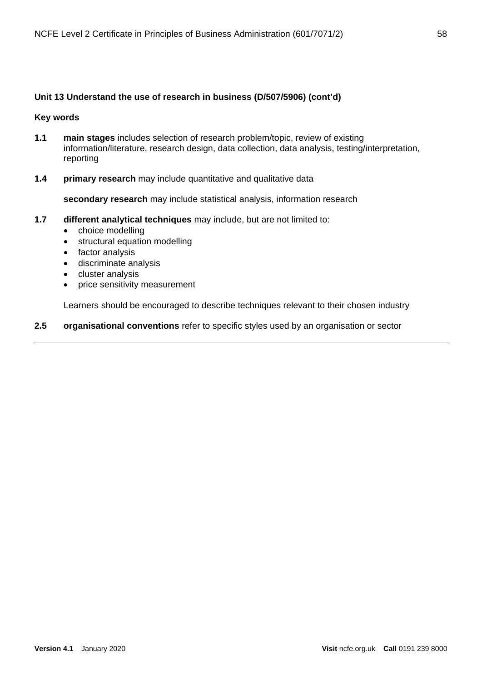#### **Unit 13 Understand the use of research in business (D/507/5906) (cont'd)**

#### **Key words**

- **1.1 main stages** includes selection of research problem/topic, review of existing information/literature, research design, data collection, data analysis, testing/interpretation, reporting
- **1.4 primary research** may include quantitative and qualitative data

**secondary research** may include statistical analysis, information research

- **1.7 different analytical techniques** may include, but are not limited to:
	- choice modelling
	- structural equation modelling
	- factor analysis
	- discriminate analysis
	- cluster analysis
	- price sensitivity measurement

Learners should be encouraged to describe techniques relevant to their chosen industry

**2.5 organisational conventions** refer to specific styles used by an organisation or sector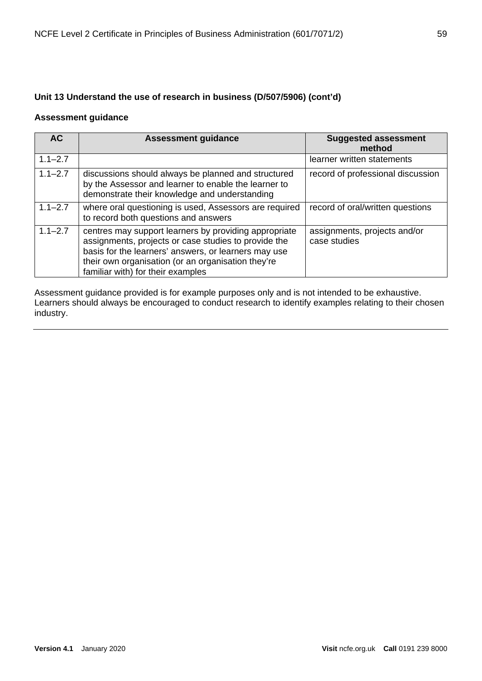# **Unit 13 Understand the use of research in business (D/507/5906) (cont'd)**

## **Assessment guidance**

| <b>AC</b>   | <b>Assessment guidance</b>                                                                                                                                                                                                                                       | <b>Suggested assessment</b><br>method        |
|-------------|------------------------------------------------------------------------------------------------------------------------------------------------------------------------------------------------------------------------------------------------------------------|----------------------------------------------|
| $1.1 - 2.7$ |                                                                                                                                                                                                                                                                  | learner written statements                   |
| $1.1 - 2.7$ | discussions should always be planned and structured<br>by the Assessor and learner to enable the learner to<br>demonstrate their knowledge and understanding                                                                                                     | record of professional discussion            |
| $1.1 - 2.7$ | where oral questioning is used, Assessors are required<br>to record both questions and answers                                                                                                                                                                   | record of oral/written questions             |
| $1.1 - 2.7$ | centres may support learners by providing appropriate<br>assignments, projects or case studies to provide the<br>basis for the learners' answers, or learners may use<br>their own organisation (or an organisation they're<br>familiar with) for their examples | assignments, projects and/or<br>case studies |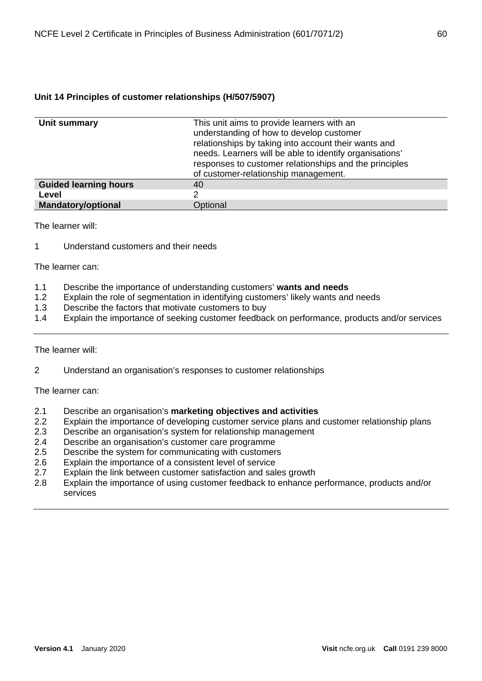## **Unit 14 Principles of customer relationships (H/507/5907)**

| Unit summary                 | This unit aims to provide learners with an<br>understanding of how to develop customer<br>relationships by taking into account their wants and<br>needs. Learners will be able to identify organisations'<br>responses to customer relationships and the principles<br>of customer-relationship management. |
|------------------------------|-------------------------------------------------------------------------------------------------------------------------------------------------------------------------------------------------------------------------------------------------------------------------------------------------------------|
| <b>Guided learning hours</b> | 40                                                                                                                                                                                                                                                                                                          |
| Level                        |                                                                                                                                                                                                                                                                                                             |
| <b>Mandatory/optional</b>    | Optional                                                                                                                                                                                                                                                                                                    |

The learner will:

1 Understand customers and their needs

The learner can:

- 1.1 Describe the importance of understanding customers' **wants and needs**
- 1.2 Explain the role of segmentation in identifying customers' likely wants and needs<br>1.3 Describe the factors that motivate customers to buy
- Describe the factors that motivate customers to buy
- 1.4 Explain the importance of seeking customer feedback on performance, products and/or services

The learner will:

2 Understand an organisation's responses to customer relationships

- 2.1 Describe an organisation's **marketing objectives and activities**
- Explain the importance of developing customer service plans and customer relationship plans
- 2.3 Describe an organisation's system for relationship management
- 2.4 Describe an organisation's customer care programme
- 2.5 Describe the system for communicating with customers
- 2.6 Explain the importance of a consistent level of service<br>2.7 Explain the link between customer satisfaction and sal
- Explain the link between customer satisfaction and sales growth
- 2.8 Explain the importance of using customer feedback to enhance performance, products and/or services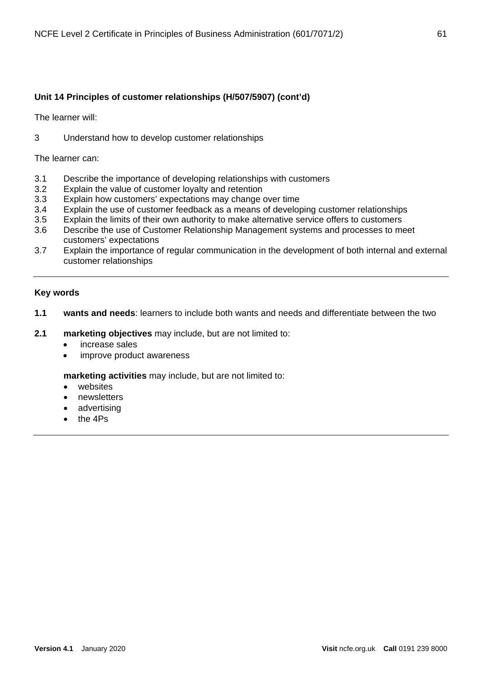## **Unit 14 Principles of customer relationships (H/507/5907) (cont'd)**

The learner will:

3 Understand how to develop customer relationships

The learner can:

- 3.1 Describe the importance of developing relationships with customers
- 3.2 Explain the value of customer loyalty and retention
- 3.3 Explain how customers' expectations may change over time
- 3.4 Explain the use of customer feedback as a means of developing customer relationships
- 3.5 Explain the limits of their own authority to make alternative service offers to customers
- 3.6 Describe the use of Customer Relationship Management systems and processes to meet customers' expectations
- 3.7 Explain the importance of regular communication in the development of both internal and external customer relationships

### **Key words**

- **1.1 wants and needs**: learners to include both wants and needs and differentiate between the two
- **2.1 marketing objectives** may include, but are not limited to:
	- increase sales
	- improve product awareness

**marketing activities** may include, but are not limited to:

- websites
- newsletters
- advertising
- the 4Ps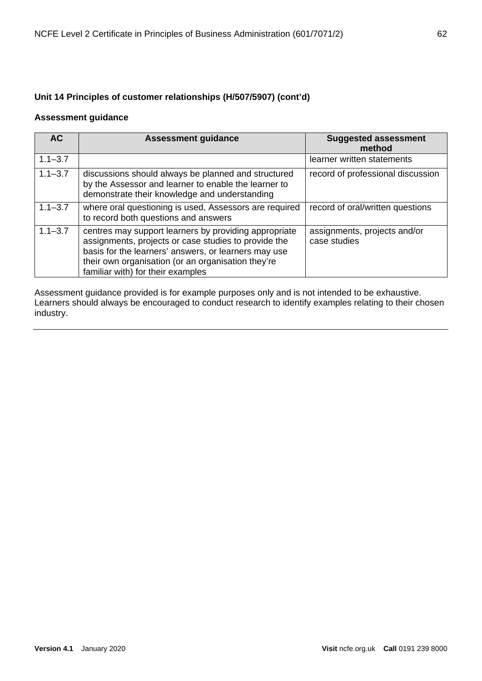# **Unit 14 Principles of customer relationships (H/507/5907) (cont'd)**

### **Assessment guidance**

| <b>AC</b>   | <b>Assessment guidance</b>                                                                                                                                                                                                                                       | <b>Suggested assessment</b><br>method        |
|-------------|------------------------------------------------------------------------------------------------------------------------------------------------------------------------------------------------------------------------------------------------------------------|----------------------------------------------|
| $1.1 - 3.7$ |                                                                                                                                                                                                                                                                  | learner written statements                   |
| $1.1 - 3.7$ | discussions should always be planned and structured<br>by the Assessor and learner to enable the learner to<br>demonstrate their knowledge and understanding                                                                                                     | record of professional discussion            |
| $1.1 - 3.7$ | where oral questioning is used, Assessors are required<br>to record both questions and answers                                                                                                                                                                   | record of oral/written questions             |
| $1.1 - 3.7$ | centres may support learners by providing appropriate<br>assignments, projects or case studies to provide the<br>basis for the learners' answers, or learners may use<br>their own organisation (or an organisation they're<br>familiar with) for their examples | assignments, projects and/or<br>case studies |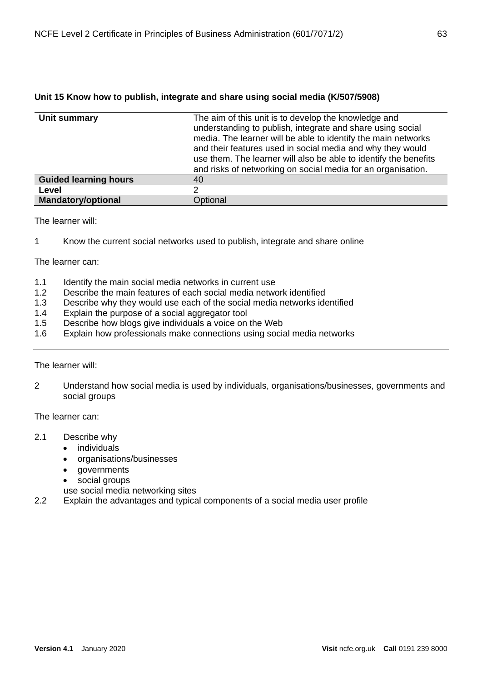| Unit summary                 | The aim of this unit is to develop the knowledge and<br>understanding to publish, integrate and share using social<br>media. The learner will be able to identify the main networks<br>and their features used in social media and why they would<br>use them. The learner will also be able to identify the benefits<br>and risks of networking on social media for an organisation. |
|------------------------------|---------------------------------------------------------------------------------------------------------------------------------------------------------------------------------------------------------------------------------------------------------------------------------------------------------------------------------------------------------------------------------------|
| <b>Guided learning hours</b> | 40                                                                                                                                                                                                                                                                                                                                                                                    |
| Level                        | 2                                                                                                                                                                                                                                                                                                                                                                                     |
| <b>Mandatory/optional</b>    | Optional                                                                                                                                                                                                                                                                                                                                                                              |

## **Unit 15 Know how to publish, integrate and share using social media (K/507/5908)**

The learner will:

1 Know the current social networks used to publish, integrate and share online

The learner can:

- 1.1 Identify the main social media networks in current use
- 1.2 Describe the main features of each social media network identified
- 1.3 Describe why they would use each of the social media networks identified
- 1.4 Explain the purpose of a social aggregator tool
- 1.5 Describe how blogs give individuals a voice on the Web
- 1.6 Explain how professionals make connections using social media networks

The learner will:

2 Understand how social media is used by individuals, organisations/businesses, governments and social groups

The learner can:

- 2.1 Describe why
	- individuals
	- organisations/businesses
	- governments
	- social groups

use social media networking sites

2.2 Explain the advantages and typical components of a social media user profile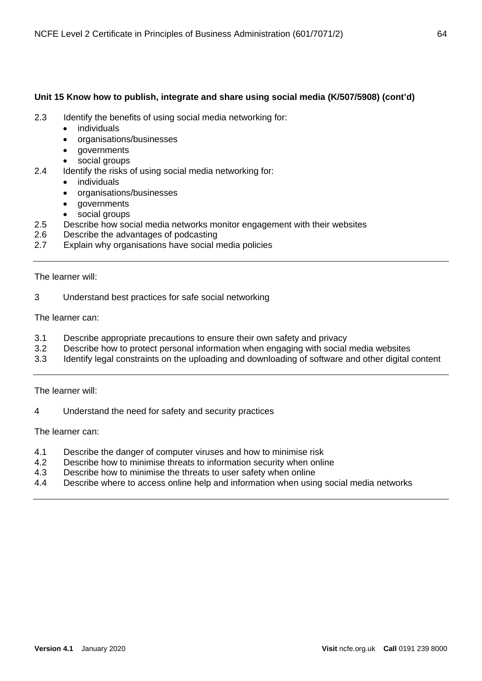## **Unit 15 Know how to publish, integrate and share using social media (K/507/5908) (cont'd)**

- 2.3 Identify the benefits of using social media networking for:
	- *individuals*
	- organisations/businesses
	- governments
	- social groups
- 2.4 Identify the risks of using social media networking for:
	- individuals
	- organisations/businesses
	- governments
	- social groups
- 2.5 Describe how social media networks monitor engagement with their websites
- 2.6 Describe the advantages of podcasting
- 2.7 Explain why organisations have social media policies

The learner will:

3 Understand best practices for safe social networking

The learner can:

- 3.1 Describe appropriate precautions to ensure their own safety and privacy
- 3.2 Describe how to protect personal information when engaging with social media websites
- 3.3 Identify legal constraints on the uploading and downloading of software and other digital content

The learner will:

4 Understand the need for safety and security practices

- 4.1 Describe the danger of computer viruses and how to minimise risk<br>4.2 Describe how to minimise threats to information security when onlin
- Describe how to minimise threats to information security when online
- 4.3 Describe how to minimise the threats to user safety when online
- 4.4 Describe where to access online help and information when using social media networks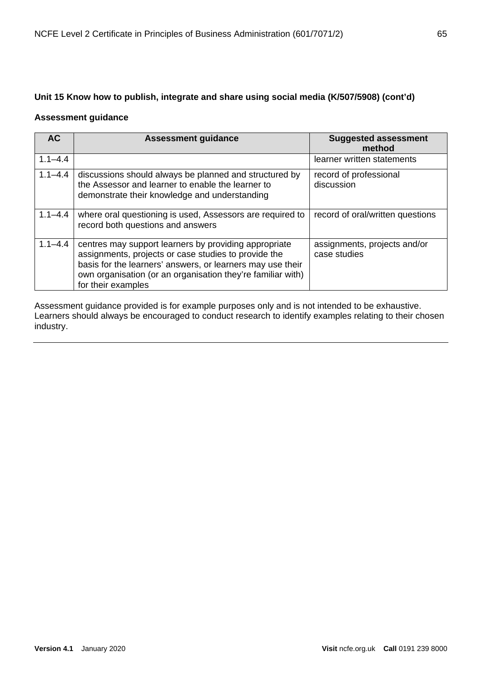# **Unit 15 Know how to publish, integrate and share using social media (K/507/5908) (cont'd)**

### **Assessment guidance**

| <b>AC</b>   | <b>Assessment guidance</b>                                                                                                                                                                                                                                       | <b>Suggested assessment</b><br>method        |
|-------------|------------------------------------------------------------------------------------------------------------------------------------------------------------------------------------------------------------------------------------------------------------------|----------------------------------------------|
| $1.1 - 4.4$ |                                                                                                                                                                                                                                                                  | learner written statements                   |
| $1.1 - 4.4$ | discussions should always be planned and structured by<br>the Assessor and learner to enable the learner to<br>demonstrate their knowledge and understanding                                                                                                     | record of professional<br>discussion         |
| $1.1 - 4.4$ | where oral questioning is used, Assessors are required to<br>record both questions and answers                                                                                                                                                                   | record of oral/written questions             |
| $1.1 - 4.4$ | centres may support learners by providing appropriate<br>assignments, projects or case studies to provide the<br>basis for the learners' answers, or learners may use their<br>own organisation (or an organisation they're familiar with)<br>for their examples | assignments, projects and/or<br>case studies |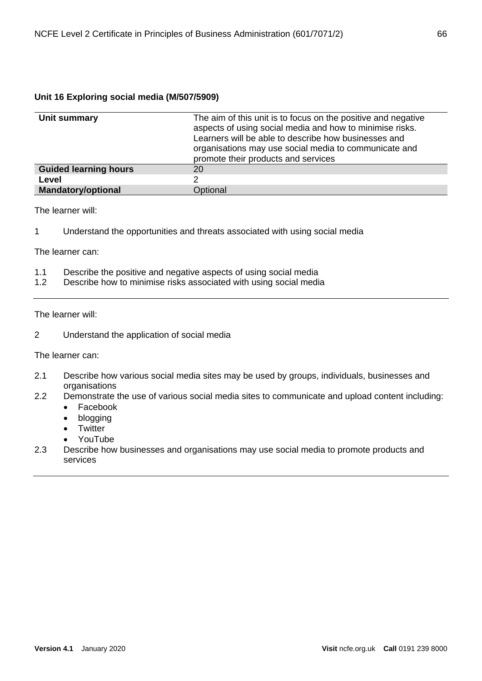## **Unit 16 Exploring social media (M/507/5909)**

| Unit summary                 | The aim of this unit is to focus on the positive and negative<br>aspects of using social media and how to minimise risks.<br>Learners will be able to describe how businesses and<br>organisations may use social media to communicate and<br>promote their products and services |
|------------------------------|-----------------------------------------------------------------------------------------------------------------------------------------------------------------------------------------------------------------------------------------------------------------------------------|
| <b>Guided learning hours</b> | 20                                                                                                                                                                                                                                                                                |
| Level                        | າ                                                                                                                                                                                                                                                                                 |
| <b>Mandatory/optional</b>    | Optional                                                                                                                                                                                                                                                                          |

The learner will:

1 Understand the opportunities and threats associated with using social media

The learner can:

- 1.1 Describe the positive and negative aspects of using social media
- 1.2 Describe how to minimise risks associated with using social media

The learner will:

2 Understand the application of social media

- 2.1 Describe how various social media sites may be used by groups, individuals, businesses and organisations
- 2.2 Demonstrate the use of various social media sites to communicate and upload content including:
	- Facebook
	- blogging
	- Twitter
	- YouTube
- 2.3 Describe how businesses and organisations may use social media to promote products and services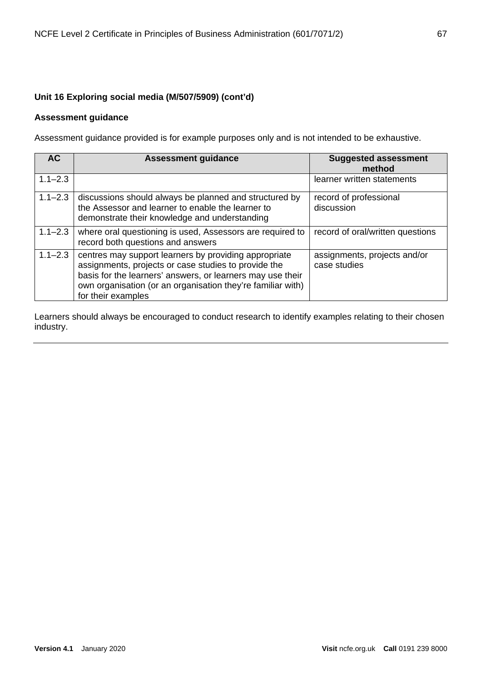# **Unit 16 Exploring social media (M/507/5909) (cont'd)**

## **Assessment guidance**

Assessment guidance provided is for example purposes only and is not intended to be exhaustive.

| AC <sub></sub> | <b>Assessment guidance</b>                                                                                                                                                                                                                                       | <b>Suggested assessment</b><br>method        |
|----------------|------------------------------------------------------------------------------------------------------------------------------------------------------------------------------------------------------------------------------------------------------------------|----------------------------------------------|
| $1.1 - 2.3$    |                                                                                                                                                                                                                                                                  | learner written statements                   |
| $1.1 - 2.3$    | discussions should always be planned and structured by<br>the Assessor and learner to enable the learner to<br>demonstrate their knowledge and understanding                                                                                                     | record of professional<br>discussion         |
| $1.1 - 2.3$    | where oral questioning is used, Assessors are required to<br>record both questions and answers                                                                                                                                                                   | record of oral/written questions             |
| $1.1 - 2.3$    | centres may support learners by providing appropriate<br>assignments, projects or case studies to provide the<br>basis for the learners' answers, or learners may use their<br>own organisation (or an organisation they're familiar with)<br>for their examples | assignments, projects and/or<br>case studies |

Learners should always be encouraged to conduct research to identify examples relating to their chosen industry.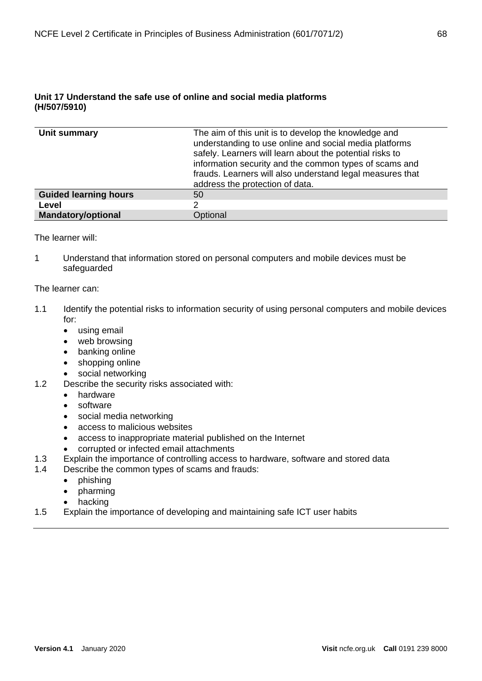| Unit summary                 | The aim of this unit is to develop the knowledge and<br>understanding to use online and social media platforms<br>safely. Learners will learn about the potential risks to<br>information security and the common types of scams and<br>frauds. Learners will also understand legal measures that<br>address the protection of data. |
|------------------------------|--------------------------------------------------------------------------------------------------------------------------------------------------------------------------------------------------------------------------------------------------------------------------------------------------------------------------------------|
| <b>Guided learning hours</b> | 50                                                                                                                                                                                                                                                                                                                                   |
| Level                        |                                                                                                                                                                                                                                                                                                                                      |
| <b>Mandatory/optional</b>    | Optional                                                                                                                                                                                                                                                                                                                             |

The learner will:

1 Understand that information stored on personal computers and mobile devices must be safeguarded

- 1.1 Identify the potential risks to information security of using personal computers and mobile devices for:
	- using email
	- web browsing
	- banking online
	- shopping online
	- social networking
- 1.2 Describe the security risks associated with:
	- hardware
	- **software**
	- social media networking
	- access to malicious websites
	- access to inappropriate material published on the Internet
	- corrupted or infected email attachments
- 1.3 Explain the importance of controlling access to hardware, software and stored data
- 1.4 Describe the common types of scams and frauds:
	- phishing
	- pharming
	- hacking
- 1.5 Explain the importance of developing and maintaining safe ICT user habits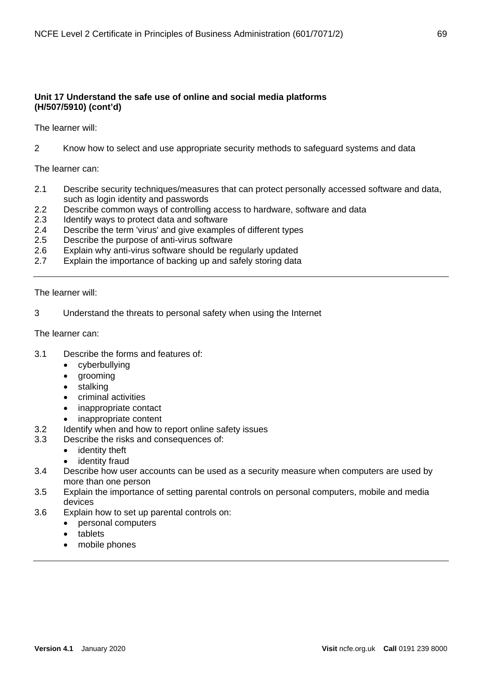The learner will:

2 Know how to select and use appropriate security methods to safeguard systems and data

The learner can:

- 2.1 Describe security techniques/measures that can protect personally accessed software and data, such as login identity and passwords
- 2.2 Describe common ways of controlling access to hardware, software and data
- 2.3 Identify ways to protect data and software
- 2.4 Describe the term 'virus' and give examples of different types
- 2.5 Describe the purpose of anti-virus software
- 2.6 Explain why anti-virus software should be regularly updated
- 2.7 Explain the importance of backing up and safely storing data

The learner will:

3 Understand the threats to personal safety when using the Internet

- 3.1 Describe the forms and features of:
	- cyberbullying
	- grooming
	- stalking
	- criminal activities
	- inappropriate contact
	- inappropriate content
- 3.2 Identify when and how to report online safety issues
- 3.3 Describe the risks and consequences of:
	- identity theft
	- identity fraud
- 3.4 Describe how user accounts can be used as a security measure when computers are used by more than one person
- 3.5 Explain the importance of setting parental controls on personal computers, mobile and media devices
- 3.6 Explain how to set up parental controls on:
	- personal computers
	- tablets
	- mobile phones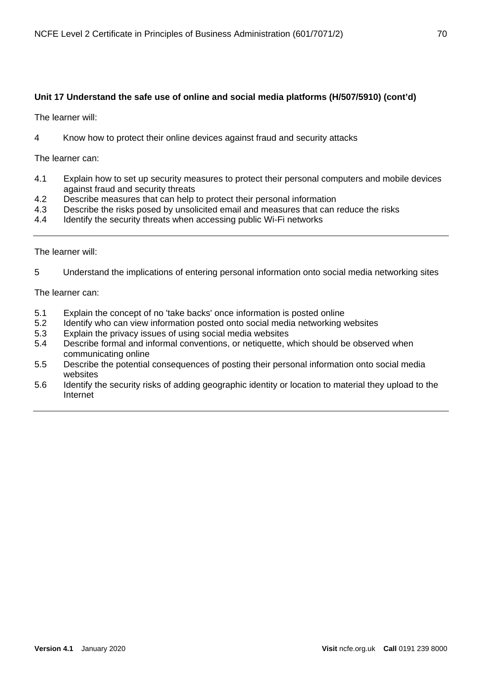The learner will:

4 Know how to protect their online devices against fraud and security attacks

The learner can:

- 4.1 Explain how to set up security measures to protect their personal computers and mobile devices against fraud and security threats
- 4.2 Describe measures that can help to protect their personal information
- 4.3 Describe the risks posed by unsolicited email and measures that can reduce the risks
- 4.4 Identify the security threats when accessing public Wi-Fi networks

The learner will:

5 Understand the implications of entering personal information onto social media networking sites

- 5.1 Explain the concept of no 'take backs' once information is posted online
- 5.2 Identify who can view information posted onto social media networking websites
- 5.3 Explain the privacy issues of using social media websites
- 5.4 Describe formal and informal conventions, or netiquette, which should be observed when communicating online
- 5.5 Describe the potential consequences of posting their personal information onto social media websites
- 5.6 Identify the security risks of adding geographic identity or location to material they upload to the Internet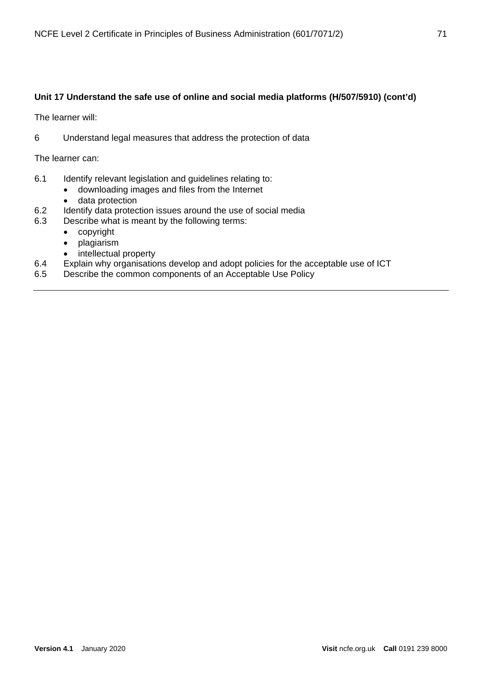The learner will:

6 Understand legal measures that address the protection of data

- 6.1 Identify relevant legislation and guidelines relating to:
	- downloading images and files from the Internet
	- data protection
- 6.2 Identify data protection issues around the use of social media<br>6.3 Describe what is meant by the following terms:
- Describe what is meant by the following terms:
	- copyright
	- plagiarism
	- intellectual property
- 6.4 Explain why organisations develop and adopt policies for the acceptable use of ICT
- 6.5 Describe the common components of an Acceptable Use Policy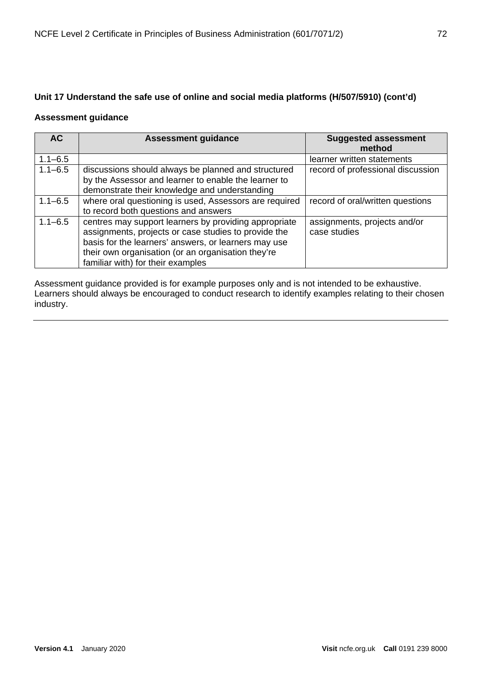### **Assessment guidance**

| <b>AC</b>   | <b>Assessment guidance</b>                                                                                                                                                                                                                                       | <b>Suggested assessment</b><br>method        |
|-------------|------------------------------------------------------------------------------------------------------------------------------------------------------------------------------------------------------------------------------------------------------------------|----------------------------------------------|
| $1.1 - 6.5$ |                                                                                                                                                                                                                                                                  | learner written statements                   |
| $1.1 - 6.5$ | discussions should always be planned and structured<br>by the Assessor and learner to enable the learner to<br>demonstrate their knowledge and understanding                                                                                                     | record of professional discussion            |
| $1.1 - 6.5$ | where oral questioning is used, Assessors are required<br>to record both questions and answers                                                                                                                                                                   | record of oral/written questions             |
| $1.1 - 6.5$ | centres may support learners by providing appropriate<br>assignments, projects or case studies to provide the<br>basis for the learners' answers, or learners may use<br>their own organisation (or an organisation they're<br>familiar with) for their examples | assignments, projects and/or<br>case studies |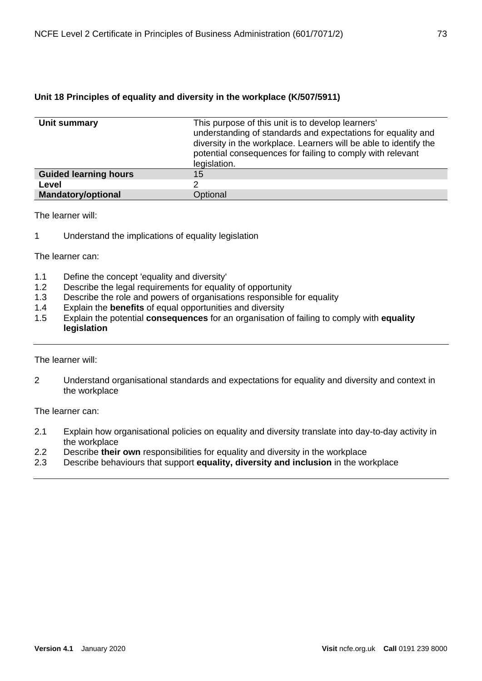### **Unit 18 Principles of equality and diversity in the workplace (K/507/5911)**

| Unit summary                 | This purpose of this unit is to develop learners'<br>understanding of standards and expectations for equality and<br>diversity in the workplace. Learners will be able to identify the<br>potential consequences for failing to comply with relevant<br>legislation. |
|------------------------------|----------------------------------------------------------------------------------------------------------------------------------------------------------------------------------------------------------------------------------------------------------------------|
| <b>Guided learning hours</b> | 15                                                                                                                                                                                                                                                                   |
| Level                        | າ                                                                                                                                                                                                                                                                    |
| <b>Mandatory/optional</b>    | Optional                                                                                                                                                                                                                                                             |

The learner will:

1 Understand the implications of equality legislation

The learner can:

- 1.1 Define the concept 'equality and diversity'<br>1.2 Describe the legal requirements for equali
- Describe the legal requirements for equality of opportunity
- 1.3 Describe the role and powers of organisations responsible for equality<br>1.4 Explain the **benefits** of equal opportunities and diversity
- 1.4 Explain the **benefits** of equal opportunities and diversity
- 1.5 Explain the potential **consequences** for an organisation of failing to comply with **equality legislation**

### The learner will:

2 Understand organisational standards and expectations for equality and diversity and context in the workplace

- 2.1 Explain how organisational policies on equality and diversity translate into day-to-day activity in the workplace
- 2.2 Describe **their own** responsibilities for equality and diversity in the workplace
- 2.3 Describe behaviours that support **equality, diversity and inclusion** in the workplace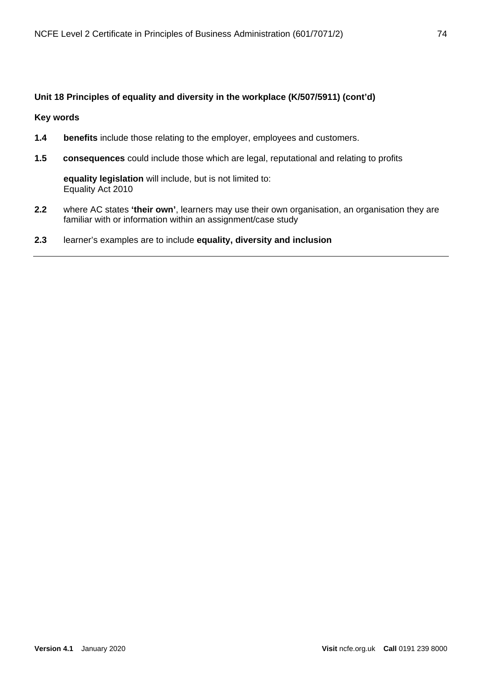### **Unit 18 Principles of equality and diversity in the workplace (K/507/5911) (cont'd)**

### **Key words**

- **1.4 benefits** include those relating to the employer, employees and customers.
- **1.5 consequences** could include those which are legal, reputational and relating to profits

**equality legislation** will include, but is not limited to: Equality Act 2010

- **2.2** where AC states **'their own'**, learners may use their own organisation, an organisation they are familiar with or information within an assignment/case study
- **2.3** learner's examples are to include **equality, diversity and inclusion**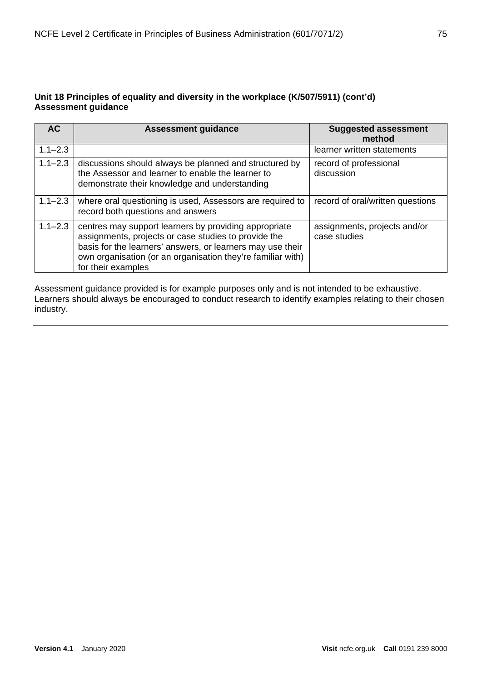### **Unit 18 Principles of equality and diversity in the workplace (K/507/5911) (cont'd) Assessment guidance**

| <b>AC</b>   | <b>Assessment guidance</b>                                                                                                                                                                                                                                                                                       | <b>Suggested assessment</b><br>method |
|-------------|------------------------------------------------------------------------------------------------------------------------------------------------------------------------------------------------------------------------------------------------------------------------------------------------------------------|---------------------------------------|
| $1.1 - 2.3$ |                                                                                                                                                                                                                                                                                                                  | learner written statements            |
| $1.1 - 2.3$ | discussions should always be planned and structured by<br>the Assessor and learner to enable the learner to<br>demonstrate their knowledge and understanding                                                                                                                                                     | record of professional<br>discussion  |
| $1.1 - 2.3$ | where oral questioning is used, Assessors are required to<br>record both questions and answers                                                                                                                                                                                                                   | record of oral/written questions      |
| $1.1 - 2.3$ | centres may support learners by providing appropriate<br>assignments, projects and/or<br>assignments, projects or case studies to provide the<br>case studies<br>basis for the learners' answers, or learners may use their<br>own organisation (or an organisation they're familiar with)<br>for their examples |                                       |

Assessment guidance provided is for example purposes only and is not intended to be exhaustive. Learners should always be encouraged to conduct research to identify examples relating to their chosen industry.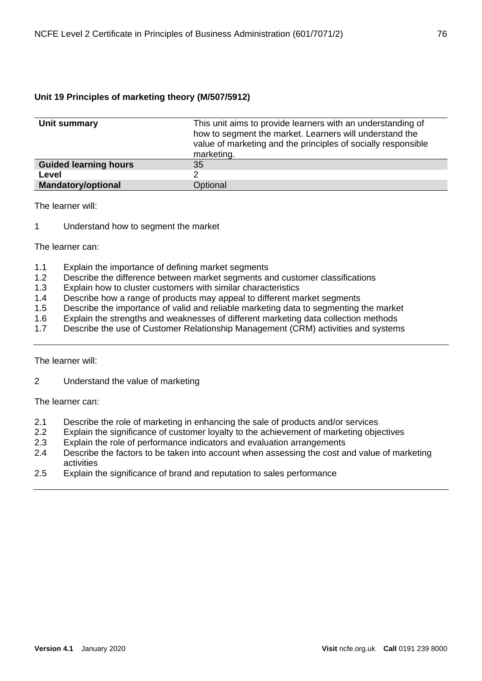### **Unit 19 Principles of marketing theory (M/507/5912)**

| Unit summary                 | This unit aims to provide learners with an understanding of<br>how to segment the market. Learners will understand the<br>value of marketing and the principles of socially responsible<br>marketing. |
|------------------------------|-------------------------------------------------------------------------------------------------------------------------------------------------------------------------------------------------------|
| <b>Guided learning hours</b> | 35                                                                                                                                                                                                    |
| Level                        |                                                                                                                                                                                                       |
| <b>Mandatory/optional</b>    | Optional                                                                                                                                                                                              |

The learner will:

1 Understand how to segment the market

The learner can:

- 1.1 Explain the importance of defining market segments
- 1.2 Describe the difference between market segments and customer classifications
- 1.3 Explain how to cluster customers with similar characteristics
- 1.4 Describe how a range of products may appeal to different market segments
- 1.5 Describe the importance of valid and reliable marketing data to segmenting the market
- 1.6 Explain the strengths and weaknesses of different marketing data collection methods
- 1.7 Describe the use of Customer Relationship Management (CRM) activities and systems

The learner will:

2 Understand the value of marketing

- 2.1 Describe the role of marketing in enhancing the sale of products and/or services
- 2.2 Explain the significance of customer loyalty to the achievement of marketing objectives
- 2.3 Explain the role of performance indicators and evaluation arrangements
- 2.4 Describe the factors to be taken into account when assessing the cost and value of marketing activities
- 2.5 Explain the significance of brand and reputation to sales performance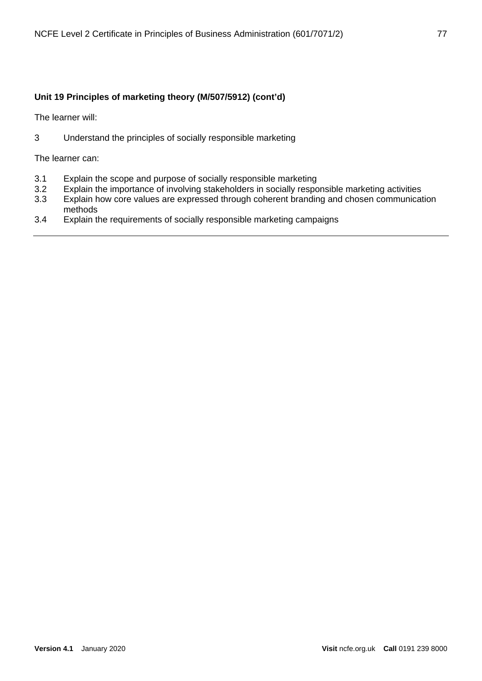### **Unit 19 Principles of marketing theory (M/507/5912) (cont'd)**

The learner will:

3 Understand the principles of socially responsible marketing

- 3.1 Explain the scope and purpose of socially responsible marketing
- 3.2 Explain the importance of involving stakeholders in socially responsible marketing activities<br>3.3 Explain how core values are expressed through coherent branding and chosen communicat
- Explain how core values are expressed through coherent branding and chosen communication methods
- 3.4 Explain the requirements of socially responsible marketing campaigns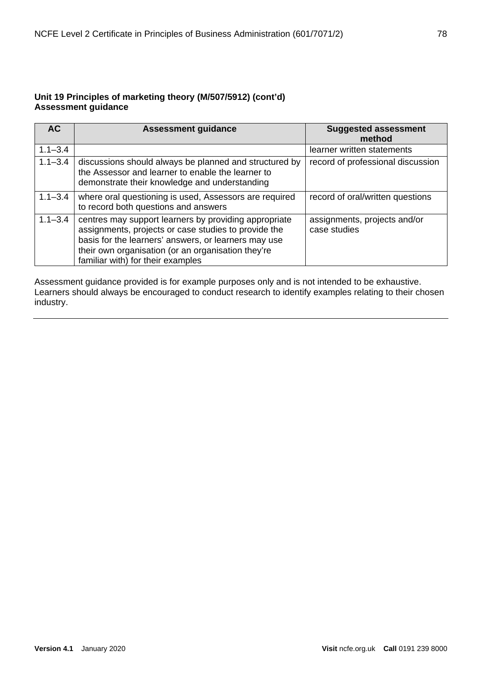### **Unit 19 Principles of marketing theory (M/507/5912) (cont'd) Assessment guidance**

| <b>AC</b>   | <b>Assessment guidance</b>                                                                                                                                                                                                                                       | <b>Suggested assessment</b><br>method        |
|-------------|------------------------------------------------------------------------------------------------------------------------------------------------------------------------------------------------------------------------------------------------------------------|----------------------------------------------|
| $1.1 - 3.4$ |                                                                                                                                                                                                                                                                  | learner written statements                   |
| $1.1 - 3.4$ | discussions should always be planned and structured by<br>the Assessor and learner to enable the learner to<br>demonstrate their knowledge and understanding                                                                                                     | record of professional discussion            |
| $1.1 - 3.4$ | where oral questioning is used, Assessors are required<br>to record both questions and answers                                                                                                                                                                   | record of oral/written questions             |
| $1.1 - 3.4$ | centres may support learners by providing appropriate<br>assignments, projects or case studies to provide the<br>basis for the learners' answers, or learners may use<br>their own organisation (or an organisation they're<br>familiar with) for their examples | assignments, projects and/or<br>case studies |

Assessment guidance provided is for example purposes only and is not intended to be exhaustive. Learners should always be encouraged to conduct research to identify examples relating to their chosen industry.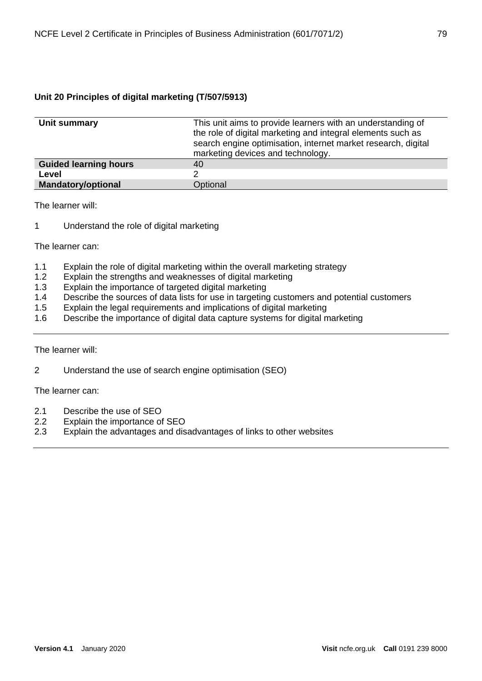### **Unit 20 Principles of digital marketing (T/507/5913)**

| Unit summary                 | This unit aims to provide learners with an understanding of<br>the role of digital marketing and integral elements such as<br>search engine optimisation, internet market research, digital<br>marketing devices and technology. |
|------------------------------|----------------------------------------------------------------------------------------------------------------------------------------------------------------------------------------------------------------------------------|
| <b>Guided learning hours</b> | 40                                                                                                                                                                                                                               |
| Level                        |                                                                                                                                                                                                                                  |
| <b>Mandatory/optional</b>    | Optional                                                                                                                                                                                                                         |

The learner will:

1 Understand the role of digital marketing

The learner can:

- 1.1 Explain the role of digital marketing within the overall marketing strategy
- 1.2 Explain the strengths and weaknesses of digital marketing
- 1.3 Explain the importance of targeted digital marketing
- 1.4 Describe the sources of data lists for use in targeting customers and potential customers<br>1.5 Explain the legal requirements and implications of digital marketing
- Explain the legal requirements and implications of digital marketing
- 1.6 Describe the importance of digital data capture systems for digital marketing

The learner will:

2 Understand the use of search engine optimisation (SEO)

- 2.1 Describe the use of SEO<br>2.2 Explain the importance of
- Explain the importance of SEO
- 2.3 Explain the advantages and disadvantages of links to other websites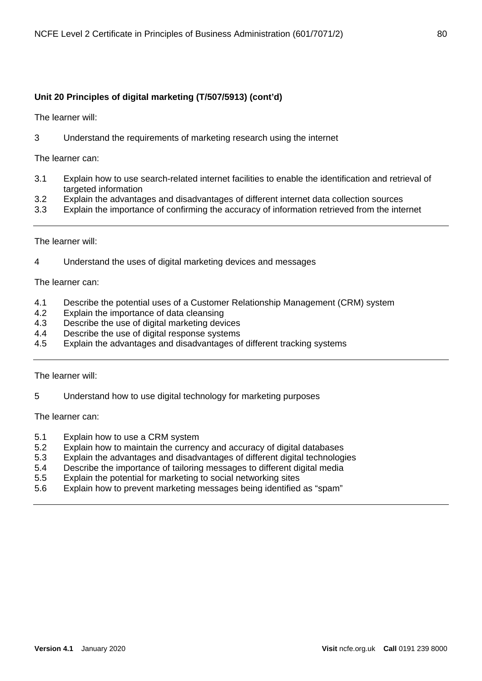### **Unit 20 Principles of digital marketing (T/507/5913) (cont'd)**

The learner will:

3 Understand the requirements of marketing research using the internet

The learner can:

- 3.1 Explain how to use search-related internet facilities to enable the identification and retrieval of targeted information
- 3.2 Explain the advantages and disadvantages of different internet data collection sources
- 3.3 Explain the importance of confirming the accuracy of information retrieved from the internet

The learner will:

4 Understand the uses of digital marketing devices and messages

The learner can:

- 4.1 Describe the potential uses of a Customer Relationship Management (CRM) system
- 4.2 Explain the importance of data cleansing
- 4.3 Describe the use of digital marketing devices
- 4.4 Describe the use of digital response systems
- 4.5 Explain the advantages and disadvantages of different tracking systems

The learner will:

5 Understand how to use digital technology for marketing purposes

- 5.1 Explain how to use a CRM system
- 5.2 Explain how to maintain the currency and accuracy of digital databases
- 5.3 Explain the advantages and disadvantages of different digital technologies
- 5.4 Describe the importance of tailoring messages to different digital media
- 5.5 Explain the potential for marketing to social networking sites
- 5.6 Explain how to prevent marketing messages being identified as "spam"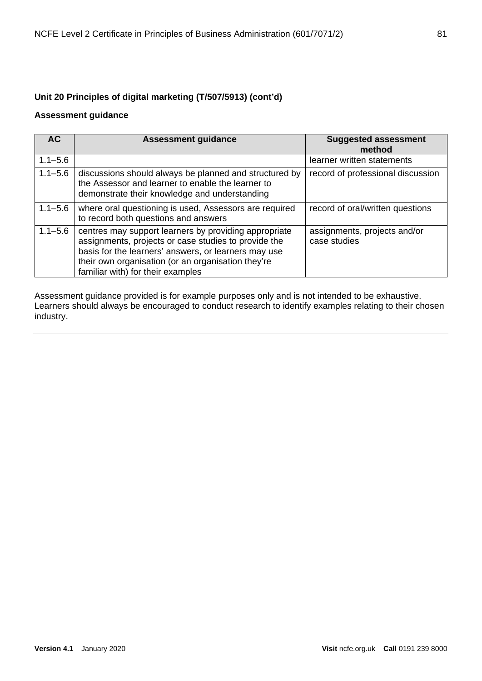### **Unit 20 Principles of digital marketing (T/507/5913) (cont'd)**

### **Assessment guidance**

| AC.         | <b>Assessment guidance</b>                                                                                                                                                                                                                                       | <b>Suggested assessment</b><br>method        |
|-------------|------------------------------------------------------------------------------------------------------------------------------------------------------------------------------------------------------------------------------------------------------------------|----------------------------------------------|
| $1.1 - 5.6$ |                                                                                                                                                                                                                                                                  | learner written statements                   |
| $1.1 - 5.6$ | discussions should always be planned and structured by<br>the Assessor and learner to enable the learner to<br>demonstrate their knowledge and understanding                                                                                                     | record of professional discussion            |
| $1.1 - 5.6$ | where oral questioning is used, Assessors are required<br>to record both questions and answers                                                                                                                                                                   | record of oral/written questions             |
| $1.1 - 5.6$ | centres may support learners by providing appropriate<br>assignments, projects or case studies to provide the<br>basis for the learners' answers, or learners may use<br>their own organisation (or an organisation they're<br>familiar with) for their examples | assignments, projects and/or<br>case studies |

Assessment guidance provided is for example purposes only and is not intended to be exhaustive. Learners should always be encouraged to conduct research to identify examples relating to their chosen industry.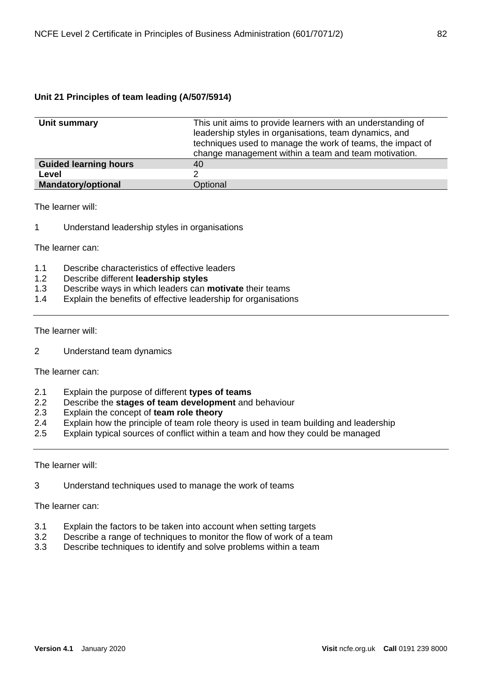| Unit summary                 | This unit aims to provide learners with an understanding of<br>leadership styles in organisations, team dynamics, and<br>techniques used to manage the work of teams, the impact of<br>change management within a team and team motivation. |
|------------------------------|---------------------------------------------------------------------------------------------------------------------------------------------------------------------------------------------------------------------------------------------|
| <b>Guided learning hours</b> | 40                                                                                                                                                                                                                                          |
| Level                        |                                                                                                                                                                                                                                             |
| <b>Mandatory/optional</b>    | Optional                                                                                                                                                                                                                                    |

The learner will:

1 Understand leadership styles in organisations

The learner can:

- 1.1 Describe characteristics of effective leaders<br>1.2 Describe different leadership styles
- 1.2 Describe different **leadership styles**
- 1.3 Describe ways in which leaders can **motivate** their teams
- Explain the benefits of effective leadership for organisations

### The learner will:

2 Understand team dynamics

The learner can:

- 2.1 Explain the purpose of different **types of teams**
- 2.2 Describe the **stages of team development** and behaviour
- 2.3 Explain the concept of **team role theory**
- 2.4 Explain how the principle of team role theory is used in team building and leadership
- 2.5 Explain typical sources of conflict within a team and how they could be managed

The learner will:

3 Understand techniques used to manage the work of teams

- 3.1 Explain the factors to be taken into account when setting targets
- 3.2 Describe a range of techniques to monitor the flow of work of a team
- 3.3 Describe techniques to identify and solve problems within a team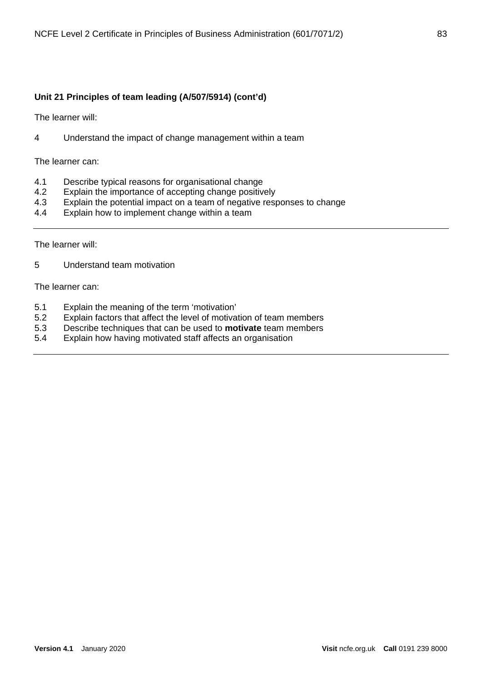The learner will:

4 Understand the impact of change management within a team

The learner can:

- 4.1 Describe typical reasons for organisational change<br>4.2 Explain the importance of accepting change positive
- Explain the importance of accepting change positively
- 4.3 Explain the potential impact on a team of negative responses to change
- 4.4 Explain how to implement change within a team

The learner will:

5 Understand team motivation

- 5.1 Explain the meaning of the term 'motivation'
- 5.2 Explain factors that affect the level of motivation of team members
- 5.3 Describe techniques that can be used to **motivate** team members
- 5.4 Explain how having motivated staff affects an organisation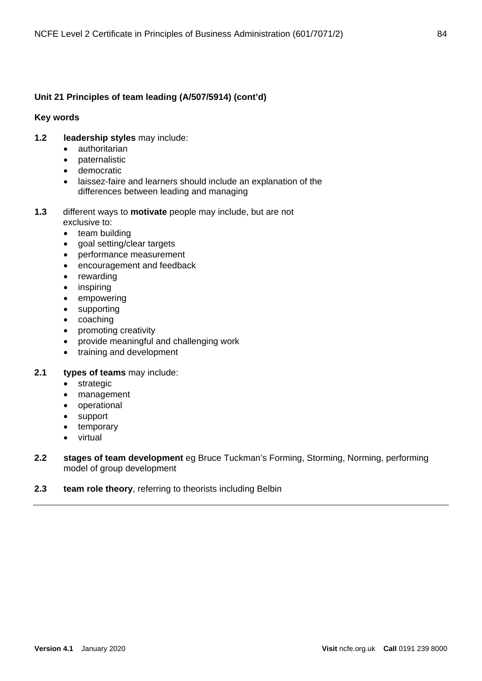### **Key words**

- **1.2 leadership styles** may include:
	- authoritarian
	- paternalistic
	- democratic
	- laissez-faire and learners should include an explanation of the differences between leading and managing
- **1.3** different ways to **motivate** people may include, but are not exclusive to:
	- team building
	- goal setting/clear targets
	- performance measurement
	- encouragement and feedback
	- rewarding
	- inspiring
	- empowering
	- supporting
	- coaching
	- promoting creativity
	- provide meaningful and challenging work
	- training and development
- **2.1 types of teams** may include:
	- strategic
	- management
	- operational
	- support
	- temporary
	- virtual
- **2.2 stages of team development** eg Bruce Tuckman's Forming, Storming, Norming, performing model of group development
- **2.3 team role theory**, referring to theorists including Belbin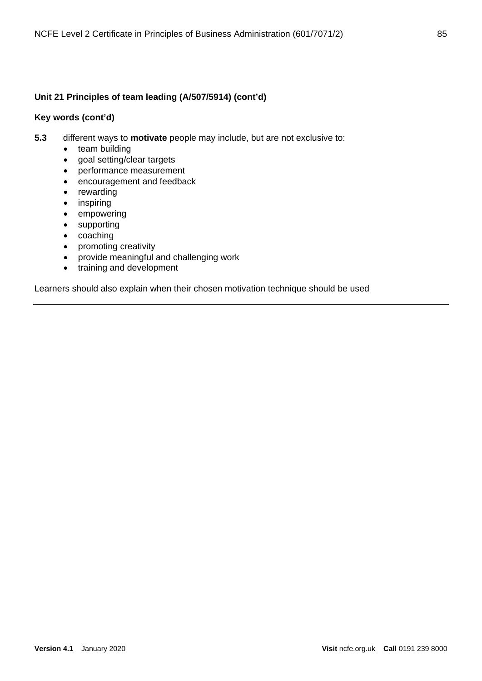### **Key words (cont'd)**

- **5.3** different ways to **motivate** people may include, but are not exclusive to:
	- team building
	- goal setting/clear targets
	- performance measurement
	- encouragement and feedback
	- rewarding
	- inspiring
	- empowering
	- supporting
	- coaching
	- promoting creativity
	- provide meaningful and challenging work
	- training and development

Learners should also explain when their chosen motivation technique should be used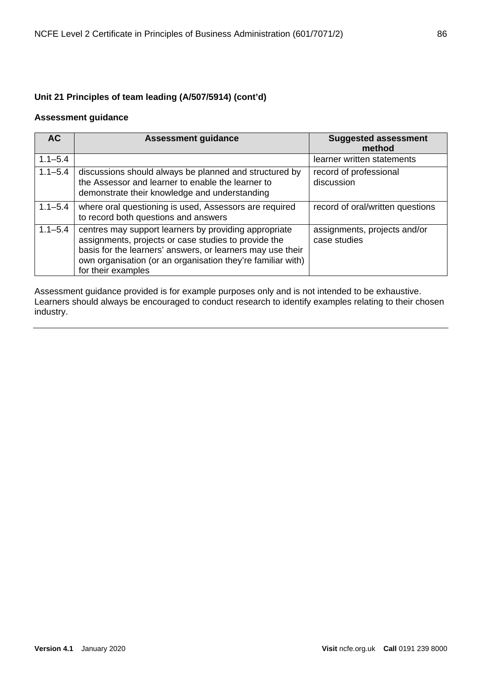### **Assessment guidance**

| AC <sub></sub> | <b>Assessment guidance</b>                                                                                                                                                                                                                                       | <b>Suggested assessment</b><br>method        |
|----------------|------------------------------------------------------------------------------------------------------------------------------------------------------------------------------------------------------------------------------------------------------------------|----------------------------------------------|
| $1.1 - 5.4$    |                                                                                                                                                                                                                                                                  | learner written statements                   |
| $1.1 - 5.4$    | discussions should always be planned and structured by<br>the Assessor and learner to enable the learner to<br>demonstrate their knowledge and understanding                                                                                                     | record of professional<br>discussion         |
| $1.1 - 5.4$    | where oral questioning is used, Assessors are required<br>to record both questions and answers                                                                                                                                                                   | record of oral/written questions             |
| $1.1 - 5.4$    | centres may support learners by providing appropriate<br>assignments, projects or case studies to provide the<br>basis for the learners' answers, or learners may use their<br>own organisation (or an organisation they're familiar with)<br>for their examples | assignments, projects and/or<br>case studies |

Assessment guidance provided is for example purposes only and is not intended to be exhaustive. Learners should always be encouraged to conduct research to identify examples relating to their chosen industry.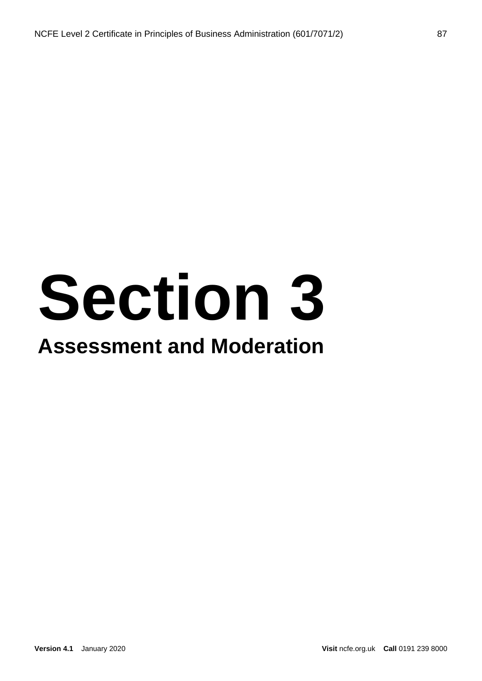# **Section 3**

### **Assessment and Moderation**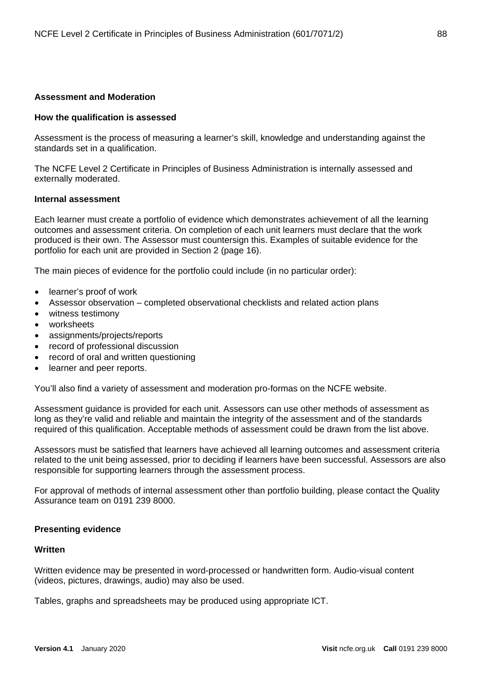### **Assessment and Moderation**

#### **How the qualification is assessed**

Assessment is the process of measuring a learner's skill, knowledge and understanding against the standards set in a qualification.

The NCFE Level 2 Certificate in Principles of Business Administration is internally assessed and externally moderated.

#### **Internal assessment**

Each learner must create a portfolio of evidence which demonstrates achievement of all the learning outcomes and assessment criteria. On completion of each unit learners must declare that the work produced is their own. The Assessor must countersign this. Examples of suitable evidence for the portfolio for each unit are provided in Section 2 (page 16).

The main pieces of evidence for the portfolio could include (in no particular order):

- learner's proof of work
- Assessor observation completed observational checklists and related action plans
- witness testimony
- worksheets
- assignments/projects/reports
- record of professional discussion
- record of oral and written questioning
- learner and peer reports.

You'll also find a variety of assessment and moderation pro-formas on the NCFE website.

Assessment guidance is provided for each unit. Assessors can use other methods of assessment as long as they're valid and reliable and maintain the integrity of the assessment and of the standards required of this qualification. Acceptable methods of assessment could be drawn from the list above.

Assessors must be satisfied that learners have achieved all learning outcomes and assessment criteria related to the unit being assessed, prior to deciding if learners have been successful. Assessors are also responsible for supporting learners through the assessment process.

For approval of methods of internal assessment other than portfolio building, please contact the Quality Assurance team on 0191 239 8000.

### **Presenting evidence**

### **Written**

Written evidence may be presented in word-processed or handwritten form. Audio-visual content (videos, pictures, drawings, audio) may also be used.

Tables, graphs and spreadsheets may be produced using appropriate ICT.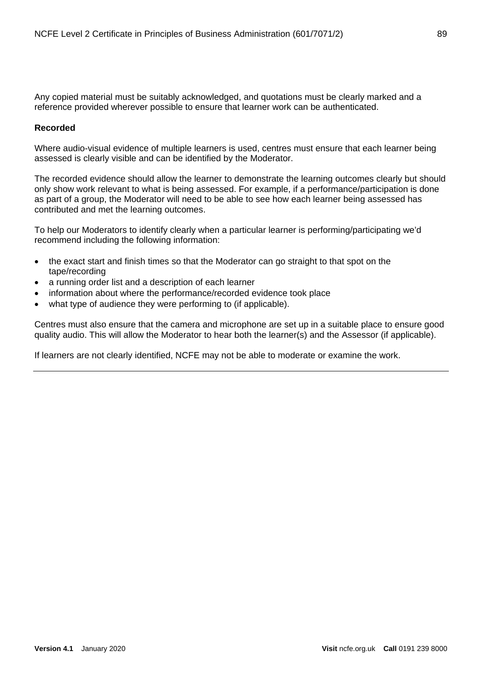Any copied material must be suitably acknowledged, and quotations must be clearly marked and a reference provided wherever possible to ensure that learner work can be authenticated.

### **Recorded**

Where audio-visual evidence of multiple learners is used, centres must ensure that each learner being assessed is clearly visible and can be identified by the Moderator.

The recorded evidence should allow the learner to demonstrate the learning outcomes clearly but should only show work relevant to what is being assessed. For example, if a performance/participation is done as part of a group, the Moderator will need to be able to see how each learner being assessed has contributed and met the learning outcomes.

To help our Moderators to identify clearly when a particular learner is performing/participating we'd recommend including the following information:

- the exact start and finish times so that the Moderator can go straight to that spot on the tape/recording
- a running order list and a description of each learner
- information about where the performance/recorded evidence took place
- what type of audience they were performing to (if applicable).

Centres must also ensure that the camera and microphone are set up in a suitable place to ensure good quality audio. This will allow the Moderator to hear both the learner(s) and the Assessor (if applicable).

If learners are not clearly identified, NCFE may not be able to moderate or examine the work.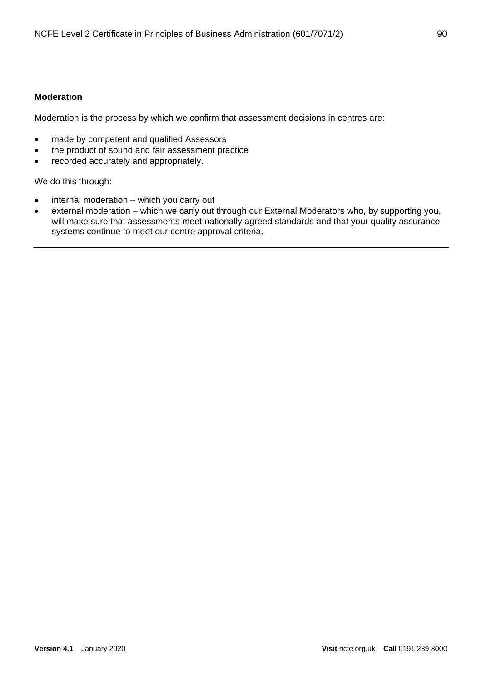### **Moderation**

Moderation is the process by which we confirm that assessment decisions in centres are:

- made by competent and qualified Assessors
- the product of sound and fair assessment practice
- recorded accurately and appropriately.

We do this through:

- internal moderation which you carry out
- external moderation which we carry out through our External Moderators who, by supporting you, will make sure that assessments meet nationally agreed standards and that your quality assurance systems continue to meet our centre approval criteria.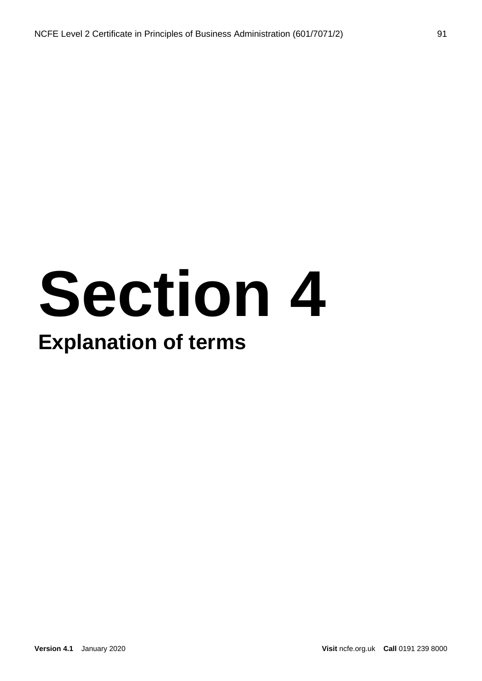# **Section 4**

### **Explanation of terms**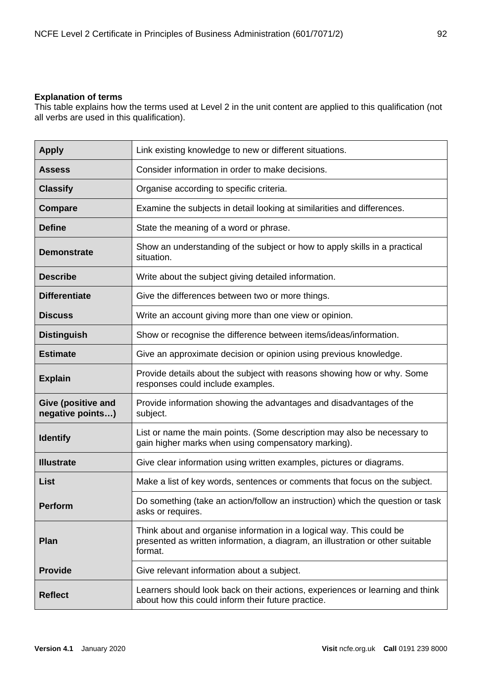### **Explanation of terms**

This table explains how the terms used at Level 2 in the unit content are applied to this qualification (not all verbs are used in this qualification).

| <b>Apply</b>                                  | Link existing knowledge to new or different situations.                                                                                                           |
|-----------------------------------------------|-------------------------------------------------------------------------------------------------------------------------------------------------------------------|
| <b>Assess</b>                                 | Consider information in order to make decisions.                                                                                                                  |
| <b>Classify</b>                               | Organise according to specific criteria.                                                                                                                          |
| <b>Compare</b>                                | Examine the subjects in detail looking at similarities and differences.                                                                                           |
| <b>Define</b>                                 | State the meaning of a word or phrase.                                                                                                                            |
| <b>Demonstrate</b>                            | Show an understanding of the subject or how to apply skills in a practical<br>situation.                                                                          |
| <b>Describe</b>                               | Write about the subject giving detailed information.                                                                                                              |
| <b>Differentiate</b>                          | Give the differences between two or more things.                                                                                                                  |
| <b>Discuss</b>                                | Write an account giving more than one view or opinion.                                                                                                            |
| <b>Distinguish</b>                            | Show or recognise the difference between items/ideas/information.                                                                                                 |
| <b>Estimate</b>                               | Give an approximate decision or opinion using previous knowledge.                                                                                                 |
| <b>Explain</b>                                | Provide details about the subject with reasons showing how or why. Some<br>responses could include examples.                                                      |
| <b>Give (positive and</b><br>negative points) | Provide information showing the advantages and disadvantages of the<br>subject.                                                                                   |
| <b>Identify</b>                               | List or name the main points. (Some description may also be necessary to<br>gain higher marks when using compensatory marking).                                   |
| <b>Illustrate</b>                             | Give clear information using written examples, pictures or diagrams.                                                                                              |
| List                                          | Make a list of key words, sentences or comments that focus on the subject.                                                                                        |
| <b>Perform</b>                                | Do something (take an action/follow an instruction) which the question or task<br>asks or requires.                                                               |
| Plan                                          | Think about and organise information in a logical way. This could be<br>presented as written information, a diagram, an illustration or other suitable<br>format. |
| <b>Provide</b>                                | Give relevant information about a subject.                                                                                                                        |
| <b>Reflect</b>                                | Learners should look back on their actions, experiences or learning and think<br>about how this could inform their future practice.                               |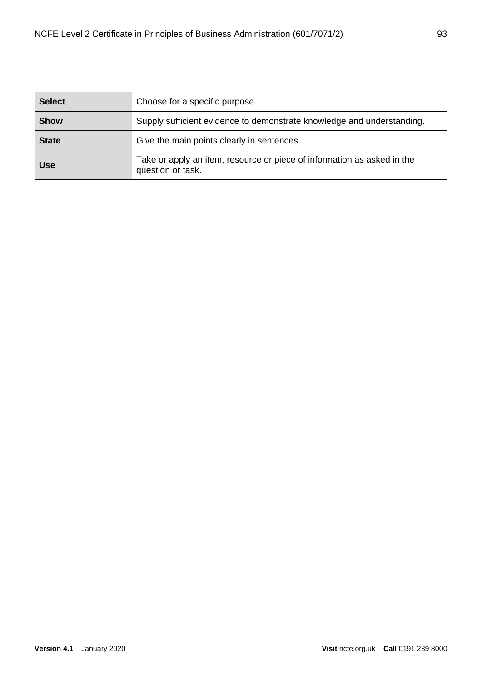| <b>Select</b> | Choose for a specific purpose.                                                               |
|---------------|----------------------------------------------------------------------------------------------|
| <b>Show</b>   | Supply sufficient evidence to demonstrate knowledge and understanding.                       |
| <b>State</b>  | Give the main points clearly in sentences.                                                   |
| <b>Use</b>    | Take or apply an item, resource or piece of information as asked in the<br>question or task. |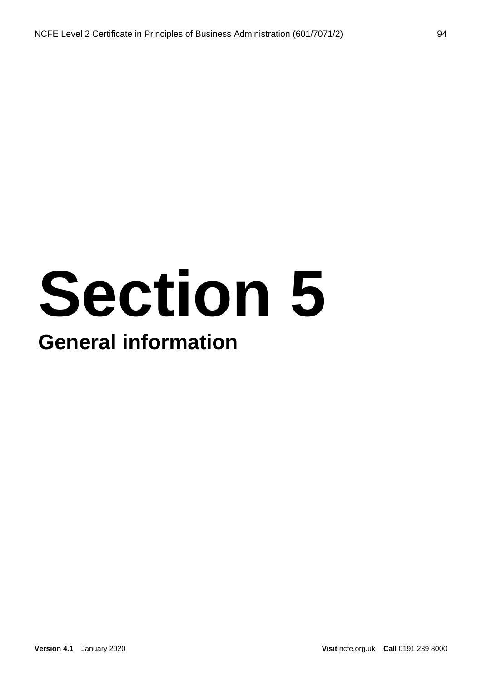## **Section 5 General information**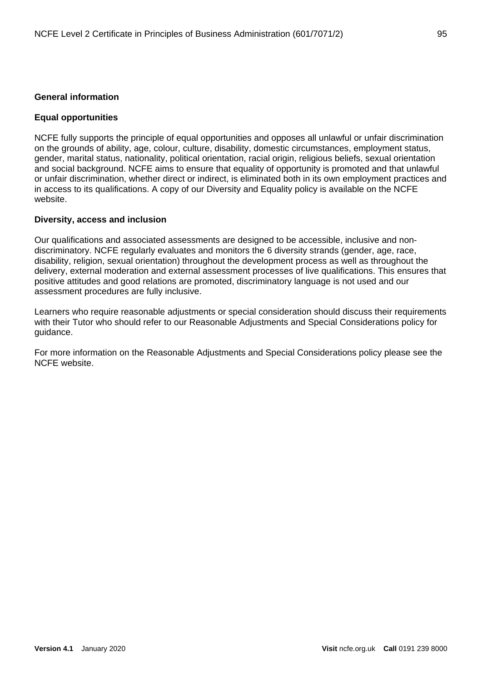### **General information**

### **Equal opportunities**

NCFE fully supports the principle of equal opportunities and opposes all unlawful or unfair discrimination on the grounds of ability, age, colour, culture, disability, domestic circumstances, employment status, gender, marital status, nationality, political orientation, racial origin, religious beliefs, sexual orientation and social background. NCFE aims to ensure that equality of opportunity is promoted and that unlawful or unfair discrimination, whether direct or indirect, is eliminated both in its own employment practices and in access to its qualifications. A copy of our Diversity and Equality policy is available on the NCFE website.

### **Diversity, access and inclusion**

Our qualifications and associated assessments are designed to be accessible, inclusive and nondiscriminatory. NCFE regularly evaluates and monitors the 6 diversity strands (gender, age, race, disability, religion, sexual orientation) throughout the development process as well as throughout the delivery, external moderation and external assessment processes of live qualifications. This ensures that positive attitudes and good relations are promoted, discriminatory language is not used and our assessment procedures are fully inclusive.

Learners who require reasonable adjustments or special consideration should discuss their requirements with their Tutor who should refer to our Reasonable Adjustments and Special Considerations policy for guidance.

For more information on the Reasonable Adjustments and Special Considerations policy please see the NCFE website.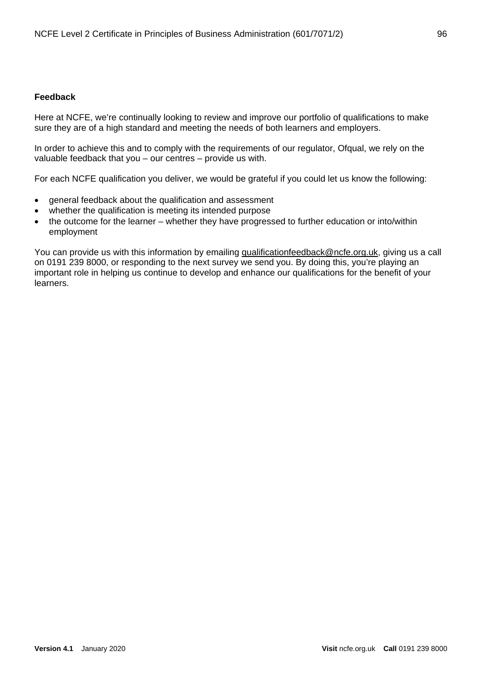### **Feedback**

Here at NCFE, we're continually looking to review and improve our portfolio of qualifications to make sure they are of a high standard and meeting the needs of both learners and employers.

In order to achieve this and to comply with the requirements of our regulator, Ofqual, we rely on the valuable feedback that you – our centres – provide us with.

For each NCFE qualification you deliver, we would be grateful if you could let us know the following:

- general feedback about the qualification and assessment
- whether the qualification is meeting its intended purpose
- the outcome for the learner whether they have progressed to further education or into/within employment

You can provide us with this information by emailing [qualificationfeedback@ncfe.org.uk,](mailto:qualificationfeedback@ncfe.org.uk) giving us a call on 0191 239 8000, or responding to the next survey we send you. By doing this, you're playing an important role in helping us continue to develop and enhance our qualifications for the benefit of your learners.